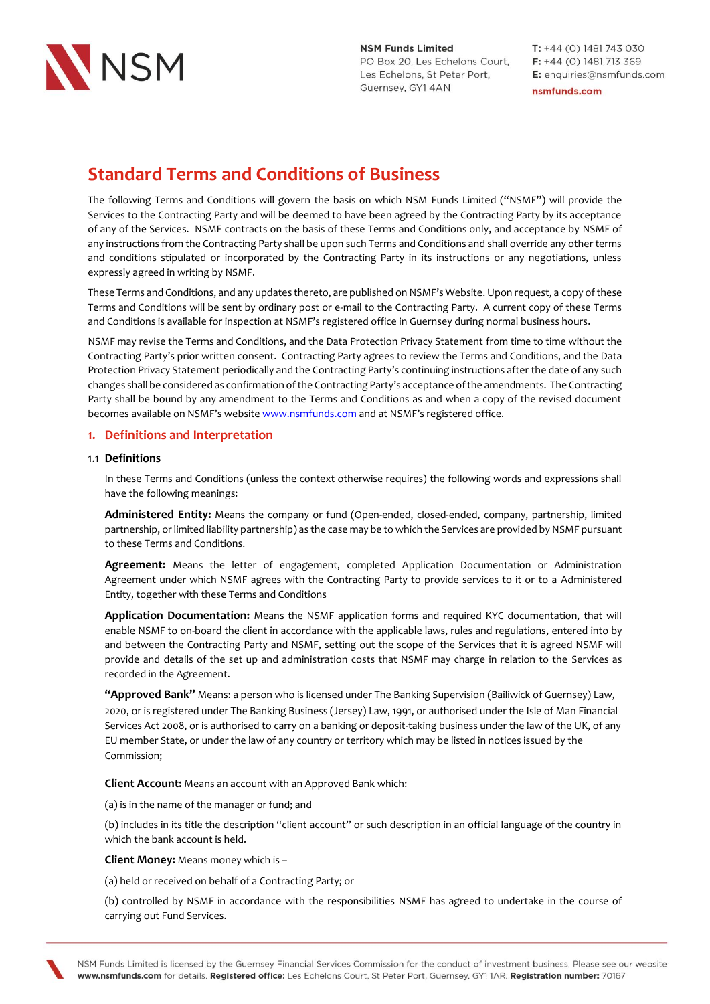

 $T: +44(0)$  1481 743 030  $F: +44(0)$  1481 713 369 E: enquiries@nsmfunds.com nsmfunds.com

## **Standard Terms and Conditions of Business**

The following Terms and Conditions will govern the basis on which NSM Funds Limited ("NSMF") will provide the Services to the Contracting Party and will be deemed to have been agreed by the Contracting Party by its acceptance of any of the Services. NSMF contracts on the basis of these Terms and Conditions only, and acceptance by NSMF of any instructions from the Contracting Party shall be upon such Terms and Conditions and shall override any other terms and conditions stipulated or incorporated by the Contracting Party in its instructions or any negotiations, unless expressly agreed in writing by NSMF.

These Terms and Conditions, and any updates thereto, are published on NSMF's Website. Upon request, a copy of these Terms and Conditions will be sent by ordinary post or e-mail to the Contracting Party. A current copy of these Terms and Conditions is available for inspection at NSMF's registered office in Guernsey during normal business hours.

NSMF may revise the Terms and Conditions, and the Data Protection Privacy Statement from time to time without the Contracting Party's prior written consent. Contracting Party agrees to review the Terms and Conditions, and the Data Protection Privacy Statement periodically and the Contracting Party's continuing instructions after the date of any such changes shall be considered as confirmation of the Contracting Party's acceptance of the amendments. The Contracting Party shall be bound by any amendment to the Terms and Conditions as and when a copy of the revised document becomes available on NSMF's website [www.nsmfunds.com](http://www.nsmfunds.com/) and at NSMF's registered office.

### **1. Definitions and Interpretation**

### 1.1 **Definitions**

In these Terms and Conditions (unless the context otherwise requires) the following words and expressions shall have the following meanings:

**Administered Entity:** Means the company or fund (Open-ended, closed-ended, company, partnership, limited partnership, or limited liability partnership) as the case may be to which the Services are provided by NSMF pursuant to these Terms and Conditions.

**Agreement:** Means the letter of engagement, completed Application Documentation or Administration Agreement under which NSMF agrees with the Contracting Party to provide services to it or to a Administered Entity, together with these Terms and Conditions

**Application Documentation:** Means the NSMF application forms and required KYC documentation, that will enable NSMF to on-board the client in accordance with the applicable laws, rules and regulations, entered into by and between the Contracting Party and NSMF, setting out the scope of the Services that it is agreed NSMF will provide and details of the set up and administration costs that NSMF may charge in relation to the Services as recorded in the Agreement.

**"Approved Bank"** Means: a person who is licensed under The Banking Supervision (Bailiwick of Guernsey) Law, 2020, or is registered under The Banking Business (Jersey) Law, 1991, or authorised under the Isle of Man Financial Services Act 2008, or is authorised to carry on a banking or deposit-taking business under the law of the UK, of any EU member State, or under the law of any country or territory which may be listed in notices issued by the Commission;

**Client Account:** Means an account with an Approved Bank which:

(a) is in the name of the manager or fund; and

(b) includes in its title the description "client account" or such description in an official language of the country in which the bank account is held.

**Client Money:** Means money which is –

(a) held or received on behalf of a Contracting Party; or

(b) controlled by NSMF in accordance with the responsibilities NSMF has agreed to undertake in the course of carrying out Fund Services.

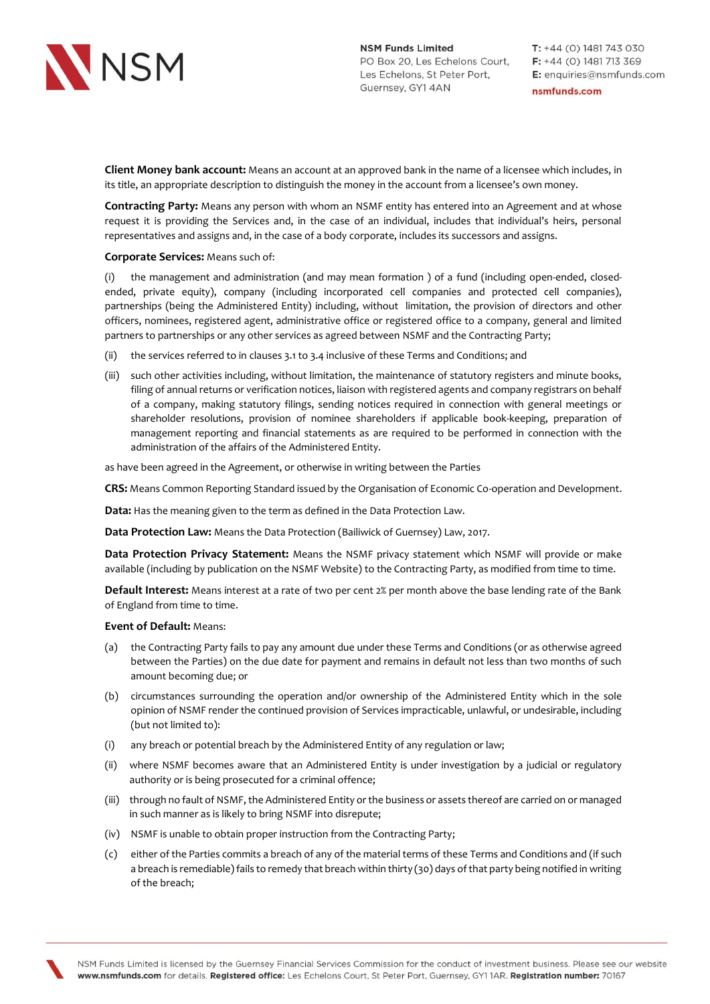

**Client Money bank account:** Means an account at an approved bank in the name of a licensee which includes, in its title, an appropriate description to distinguish the money in the account from a licensee's own money.

**Contracting Party:** Means any person with whom an NSMF entity has entered into an Agreement and at whose request it is providing the Services and, in the case of an individual, includes that individual's heirs, personal representatives and assigns and, in the case of a body corporate, includes its successors and assigns.

### **Corporate Services:** Means such of:

(i) the management and administration (and may mean formation ) of a fund (including open-ended, closedended, private equity), company (including incorporated cell companies and protected cell companies), partnerships (being the Administered Entity) including, without limitation, the provision of directors and other officers, nominees, registered agent, administrative office or registered office to a company, general and limited partners to partnerships or any other services as agreed between NSMF and the Contracting Party;

- (ii) the services referred to in clauses 3.1 to 3.4 inclusive of these Terms and Conditions; and
- (iii) such other activities including, without limitation, the maintenance of statutory registers and minute books, filing of annual returns or verification notices, liaison with registered agents and company registrars on behalf of a company, making statutory filings, sending notices required in connection with general meetings or shareholder resolutions, provision of nominee shareholders if applicable book-keeping, preparation of management reporting and financial statements as are required to be performed in connection with the administration of the affairs of the Administered Entity.

as have been agreed in the Agreement, or otherwise in writing between the Parties

**CRS:** Means Common Reporting Standard issued by the Organisation of Economic Co-operation and Development.

**Data:** Has the meaning given to the term as defined in the Data Protection Law.

**Data Protection Law:** Means the Data Protection (Bailiwick of Guernsey) Law, 2017.

**Data Protection Privacy Statement:** Means the NSMF privacy statement which NSMF will provide or make available (including by publication on the NSMF Website) to the Contracting Party, as modified from time to time.

**Default Interest:** Means interest at a rate of two per cent 2% per month above the base lending rate of the Bank of England from time to time.

### **Event of Default:** Means:

- (a) the Contracting Party fails to pay any amount due under these Terms and Conditions (or as otherwise agreed between the Parties) on the due date for payment and remains in default not less than two months of such amount becoming due; or
- (b) circumstances surrounding the operation and/or ownership of the Administered Entity which in the sole opinion of NSMF render the continued provision of Services impracticable, unlawful, or undesirable, including (but not limited to):
- (i) any breach or potential breach by the Administered Entity of any regulation or law;
- (ii) where NSMF becomes aware that an Administered Entity is under investigation by a judicial or regulatory authority or is being prosecuted for a criminal offence;
- (iii) through no fault of NSMF, the Administered Entity or the business or assets thereof are carried on or managed in such manner as is likely to bring NSMF into disrepute;
- (iv) NSMF is unable to obtain proper instruction from the Contracting Party;
- (c) either of the Parties commits a breach of any of the material terms of these Terms and Conditions and (if such a breach is remediable) fails to remedy that breach within thirty (30) days of that party being notified in writing of the breach;

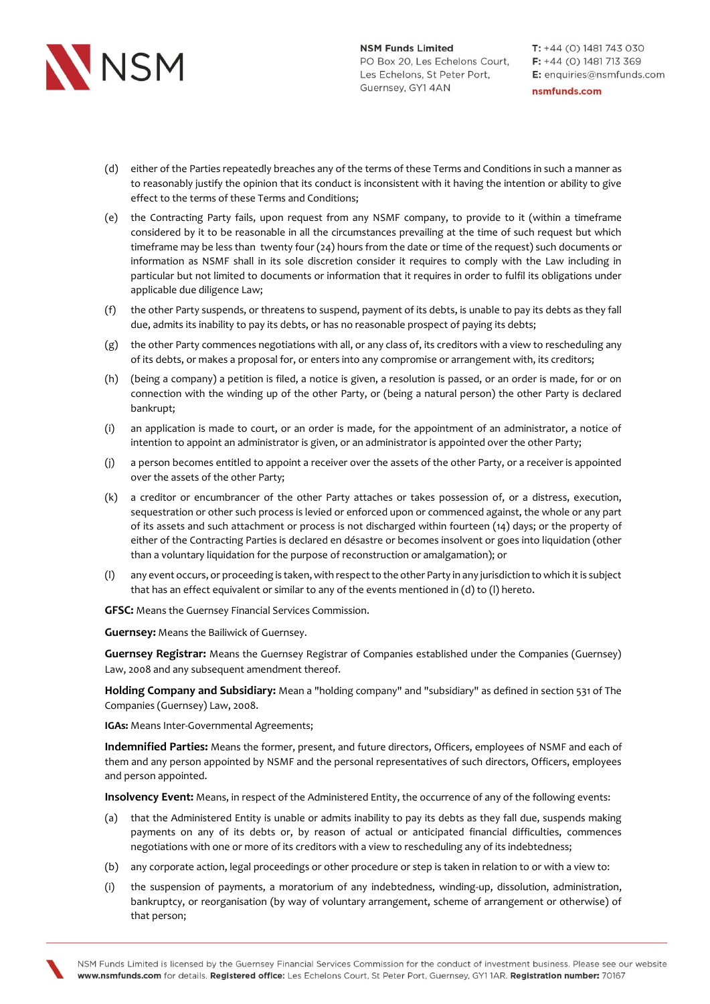

- (d) either of the Parties repeatedly breaches any of the terms of these Terms and Conditions in such a manner as to reasonably justify the opinion that its conduct is inconsistent with it having the intention or ability to give effect to the terms of these Terms and Conditions;
- (e) the Contracting Party fails, upon request from any NSMF company, to provide to it (within a timeframe considered by it to be reasonable in all the circumstances prevailing at the time of such request but which timeframe may be less than twenty four (24) hours from the date or time of the request) such documents or information as NSMF shall in its sole discretion consider it requires to comply with the Law including in particular but not limited to documents or information that it requires in order to fulfil its obligations under applicable due diligence Law;
- (f) the other Party suspends, or threatens to suspend, payment of its debts, is unable to pay its debts as they fall due, admits its inability to pay its debts, or has no reasonable prospect of paying its debts;
- (g) the other Party commences negotiations with all, or any class of, its creditors with a view to rescheduling any of its debts, or makes a proposal for, or enters into any compromise or arrangement with, its creditors;
- (h) (being a company) a petition is filed, a notice is given, a resolution is passed, or an order is made, for or on connection with the winding up of the other Party, or (being a natural person) the other Party is declared bankrupt;
- (i) an application is made to court, or an order is made, for the appointment of an administrator, a notice of intention to appoint an administrator is given, or an administrator is appointed over the other Party;
- (j) a person becomes entitled to appoint a receiver over the assets of the other Party, or a receiver is appointed over the assets of the other Party;
- (k) a creditor or encumbrancer of the other Party attaches or takes possession of, or a distress, execution, sequestration or other such process is levied or enforced upon or commenced against, the whole or any part of its assets and such attachment or process is not discharged within fourteen (14) days; or the property of either of the Contracting Parties is declared en désastre or becomes insolvent or goes into liquidation (other than a voluntary liquidation for the purpose of reconstruction or amalgamation); or
- (l) any event occurs, or proceeding is taken, with respect to the other Party in any jurisdiction to which it is subject that has an effect equivalent or similar to any of the events mentioned in (d) to (l) hereto.

**GFSC:** Means the Guernsey Financial Services Commission.

**Guernsey:** Means the Bailiwick of Guernsey.

**Guernsey Registrar:** Means the Guernsey Registrar of Companies established under the Companies (Guernsey) Law, 2008 and any subsequent amendment thereof.

**Holding Company and Subsidiary:** Mean a "holding company" and "subsidiary" as defined in section 531 of The Companies (Guernsey) Law, 2008.

**IGAs:** Means Inter-Governmental Agreements;

**Indemnified Parties:** Means the former, present, and future directors, Officers, employees of NSMF and each of them and any person appointed by NSMF and the personal representatives of such directors, Officers, employees and person appointed.

**Insolvency Event:** Means, in respect of the Administered Entity, the occurrence of any of the following events:

- (a) that the Administered Entity is unable or admits inability to pay its debts as they fall due, suspends making payments on any of its debts or, by reason of actual or anticipated financial difficulties, commences negotiations with one or more of its creditors with a view to rescheduling any of its indebtedness;
- (b) any corporate action, legal proceedings or other procedure or step is taken in relation to or with a view to:
- (i) the suspension of payments, a moratorium of any indebtedness, winding-up, dissolution, administration, bankruptcy, or reorganisation (by way of voluntary arrangement, scheme of arrangement or otherwise) of that person;

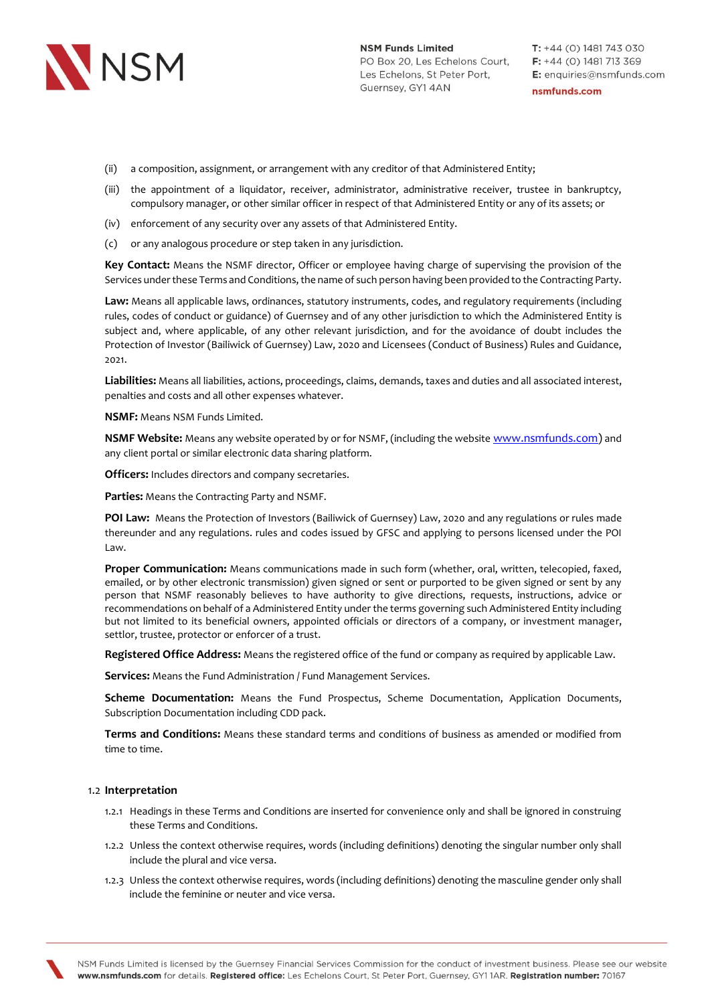

- (ii) a composition, assignment, or arrangement with any creditor of that Administered Entity;
- (iii) the appointment of a liquidator, receiver, administrator, administrative receiver, trustee in bankruptcy, compulsory manager, or other similar officer in respect of that Administered Entity or any of its assets; or
- (iv) enforcement of any security over any assets of that Administered Entity.
- (c) or any analogous procedure or step taken in any jurisdiction.

**Key Contact:** Means the NSMF director, Officer or employee having charge of supervising the provision of the Services under these Terms and Conditions, the name of such person having been provided to the Contracting Party.

**Law:** Means all applicable laws, ordinances, statutory instruments, codes, and regulatory requirements (including rules, codes of conduct or guidance) of Guernsey and of any other jurisdiction to which the Administered Entity is subject and, where applicable, of any other relevant jurisdiction, and for the avoidance of doubt includes the Protection of Investor (Bailiwick of Guernsey) Law, 2020 and Licensees (Conduct of Business) Rules and Guidance, 2021.

**Liabilities:** Means all liabilities, actions, proceedings, claims, demands, taxes and duties and all associated interest, penalties and costs and all other expenses whatever.

**NSMF:** Means NSM Funds Limited.

**NSMF Website:** Means any website operated by or for NSMF, (including the website [www.nsmfunds.com\)](http://www.nsmfunds.com/) and any client portal or similar electronic data sharing platform.

**Officers:** Includes directors and company secretaries.

**Parties:** Means the Contracting Party and NSMF.

**POI Law:** Means the Protection of Investors (Bailiwick of Guernsey) Law, 2020 and any regulations or rules made thereunder and any regulations. rules and codes issued by GFSC and applying to persons licensed under the POI Law.

**Proper Communication:** Means communications made in such form (whether, oral, written, telecopied, faxed, emailed, or by other electronic transmission) given signed or sent or purported to be given signed or sent by any person that NSMF reasonably believes to have authority to give directions, requests, instructions, advice or recommendations on behalf of a Administered Entity under the terms governing such Administered Entity including but not limited to its beneficial owners, appointed officials or directors of a company, or investment manager, settlor, trustee, protector or enforcer of a trust.

**Registered Office Address:** Means the registered office of the fund or company as required by applicable Law.

**Services:** Means the Fund Administration / Fund Management Services.

**Scheme Documentation:** Means the Fund Prospectus, Scheme Documentation, Application Documents, Subscription Documentation including CDD pack.

**Terms and Conditions:** Means these standard terms and conditions of business as amended or modified from time to time.

#### 1.2 **Interpretation**

- 1.2.1 Headings in these Terms and Conditions are inserted for convenience only and shall be ignored in construing these Terms and Conditions.
- 1.2.2 Unless the context otherwise requires, words (including definitions) denoting the singular number only shall include the plural and vice versa.
- 1.2.3 Unless the context otherwise requires, words (including definitions) denoting the masculine gender only shall include the feminine or neuter and vice versa.

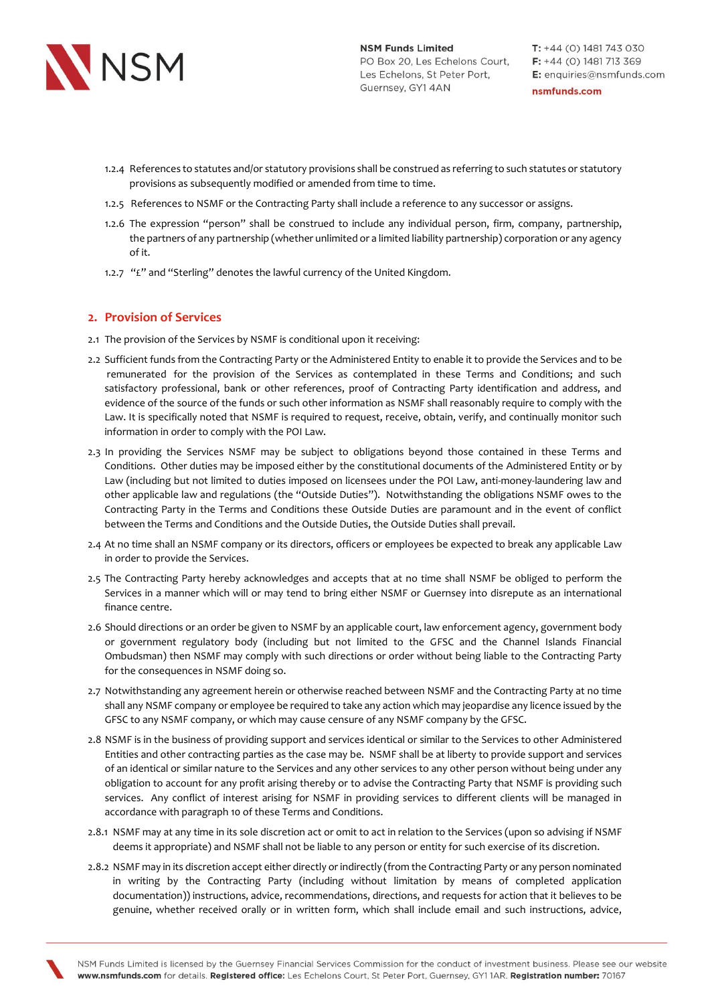

- 1.2.4 References to statutes and/or statutory provisions shall be construed as referring to such statutes or statutory provisions as subsequently modified or amended from time to time.
- 1.2.5 References to NSMF or the Contracting Party shall include a reference to any successor or assigns.
- 1.2.6 The expression "person" shall be construed to include any individual person, firm, company, partnership, the partners of any partnership (whether unlimited or a limited liability partnership) corporation or any agency of it.
- 1.2.7 "£" and "Sterling" denotes the lawful currency of the United Kingdom.

### **2. Provision of Services**

- 2.1 The provision of the Services by NSMF is conditional upon it receiving:
- 2.2 Sufficient funds from the Contracting Party or the Administered Entity to enable it to provide the Services and to be remunerated for the provision of the Services as contemplated in these Terms and Conditions; and such satisfactory professional, bank or other references, proof of Contracting Party identification and address, and evidence of the source of the funds or such other information as NSMF shall reasonably require to comply with the Law. It is specifically noted that NSMF is required to request, receive, obtain, verify, and continually monitor such information in order to comply with the POI Law.
- 2.3 In providing the Services NSMF may be subject to obligations beyond those contained in these Terms and Conditions. Other duties may be imposed either by the constitutional documents of the Administered Entity or by Law (including but not limited to duties imposed on licensees under the POI Law, anti-money-laundering law and other applicable law and regulations (the "Outside Duties"). Notwithstanding the obligations NSMF owes to the Contracting Party in the Terms and Conditions these Outside Duties are paramount and in the event of conflict between the Terms and Conditions and the Outside Duties, the Outside Duties shall prevail.
- 2.4 At no time shall an NSMF company or its directors, officers or employees be expected to break any applicable Law in order to provide the Services.
- 2.5 The Contracting Party hereby acknowledges and accepts that at no time shall NSMF be obliged to perform the Services in a manner which will or may tend to bring either NSMF or Guernsey into disrepute as an international finance centre.
- 2.6 Should directions or an order be given to NSMF by an applicable court, law enforcement agency, government body or government regulatory body (including but not limited to the GFSC and the Channel Islands Financial Ombudsman) then NSMF may comply with such directions or order without being liable to the Contracting Party for the consequences in NSMF doing so.
- 2.7 Notwithstanding any agreement herein or otherwise reached between NSMF and the Contracting Party at no time shall any NSMF company or employee be required to take any action which may jeopardise any licence issued by the GFSC to any NSMF company, or which may cause censure of any NSMF company by the GFSC.
- 2.8 NSMF is in the business of providing support and services identical or similar to the Services to other Administered Entities and other contracting parties as the case may be. NSMF shall be at liberty to provide support and services of an identical or similar nature to the Services and any other services to any other person without being under any obligation to account for any profit arising thereby or to advise the Contracting Party that NSMF is providing such services. Any conflict of interest arising for NSMF in providing services to different clients will be managed in accordance with paragraph 10 of these Terms and Conditions.
- 2.8.1 NSMF may at any time in its sole discretion act or omit to act in relation to the Services (upon so advising if NSMF deems it appropriate) and NSMF shall not be liable to any person or entity for such exercise of its discretion.
- 2.8.2 NSMF may in its discretion accept either directly or indirectly (from the Contracting Party or any person nominated in writing by the Contracting Party (including without limitation by means of completed application documentation)) instructions, advice, recommendations, directions, and requests for action that it believes to be genuine, whether received orally or in written form, which shall include email and such instructions, advice,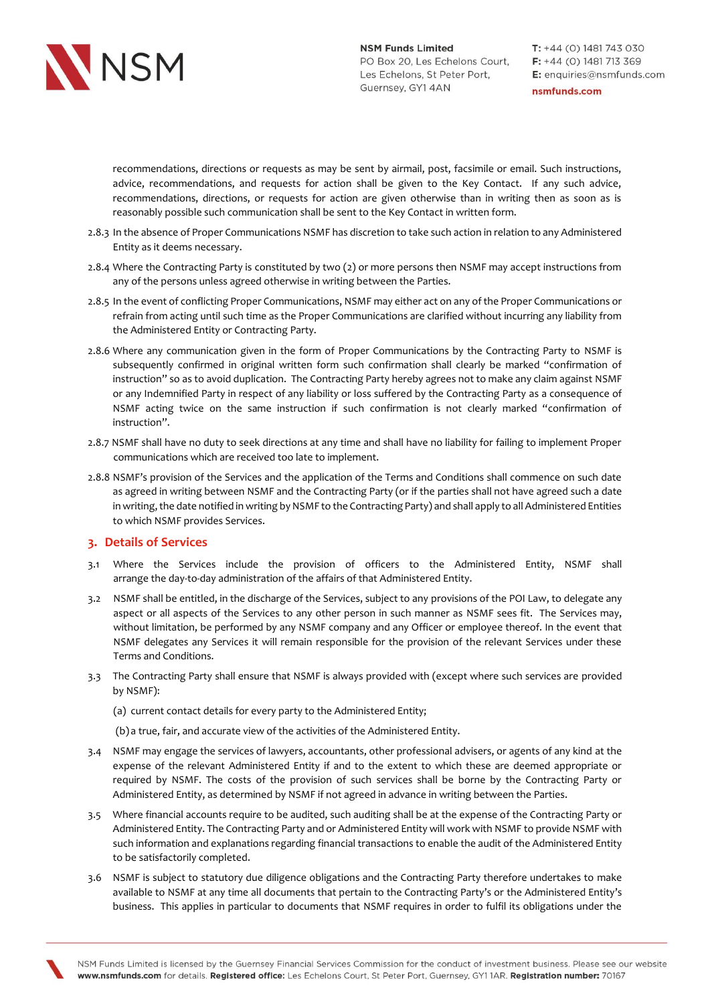

recommendations, directions or requests as may be sent by airmail, post, facsimile or email. Such instructions, advice, recommendations, and requests for action shall be given to the Key Contact. If any such advice, recommendations, directions, or requests for action are given otherwise than in writing then as soon as is reasonably possible such communication shall be sent to the Key Contact in written form.

- 2.8.3 In the absence of Proper Communications NSMF has discretion to take such action in relation to any Administered Entity as it deems necessary.
- 2.8.4 Where the Contracting Party is constituted by two (2) or more persons then NSMF may accept instructions from any of the persons unless agreed otherwise in writing between the Parties.
- 2.8.5 In the event of conflicting Proper Communications, NSMF may either act on any of the Proper Communications or refrain from acting until such time as the Proper Communications are clarified without incurring any liability from the Administered Entity or Contracting Party.
- 2.8.6 Where any communication given in the form of Proper Communications by the Contracting Party to NSMF is subsequently confirmed in original written form such confirmation shall clearly be marked "confirmation of instruction" so as to avoid duplication. The Contracting Party hereby agrees not to make any claim against NSMF or any Indemnified Party in respect of any liability or loss suffered by the Contracting Party as a consequence of NSMF acting twice on the same instruction if such confirmation is not clearly marked "confirmation of instruction".
- 2.8.7 NSMF shall have no duty to seek directions at any time and shall have no liability for failing to implement Proper communications which are received too late to implement.
- 2.8.8 NSMF's provision of the Services and the application of the Terms and Conditions shall commence on such date as agreed in writing between NSMF and the Contracting Party (or if the parties shall not have agreed such a date in writing, the date notified in writing by NSMF to the Contracting Party) and shall apply to all Administered Entities to which NSMF provides Services.

### **3. Details of Services**

- 3.1 Where the Services include the provision of officers to the Administered Entity, NSMF shall arrange the day-to-day administration of the affairs of that Administered Entity.
- 3.2 NSMF shall be entitled, in the discharge of the Services, subject to any provisions of the POI Law, to delegate any aspect or all aspects of the Services to any other person in such manner as NSMF sees fit. The Services may, without limitation, be performed by any NSMF company and any Officer or employee thereof. In the event that NSMF delegates any Services it will remain responsible for the provision of the relevant Services under these Terms and Conditions.
- 3.3 The Contracting Party shall ensure that NSMF is always provided with (except where such services are provided by NSMF):
	- (a) current contact details for every party to the Administered Entity;
	- (b) a true, fair, and accurate view of the activities of the Administered Entity.
- 3.4 NSMF may engage the services of lawyers, accountants, other professional advisers, or agents of any kind at the expense of the relevant Administered Entity if and to the extent to which these are deemed appropriate or required by NSMF. The costs of the provision of such services shall be borne by the Contracting Party or Administered Entity, as determined by NSMF if not agreed in advance in writing between the Parties.
- 3.5 Where financial accounts require to be audited, such auditing shall be at the expense of the Contracting Party or Administered Entity. The Contracting Party and or Administered Entity will work with NSMF to provide NSMF with such information and explanations regarding financial transactions to enable the audit of the Administered Entity to be satisfactorily completed.
- 3.6 NSMF is subject to statutory due diligence obligations and the Contracting Party therefore undertakes to make available to NSMF at any time all documents that pertain to the Contracting Party's or the Administered Entity's business. This applies in particular to documents that NSMF requires in order to fulfil its obligations under the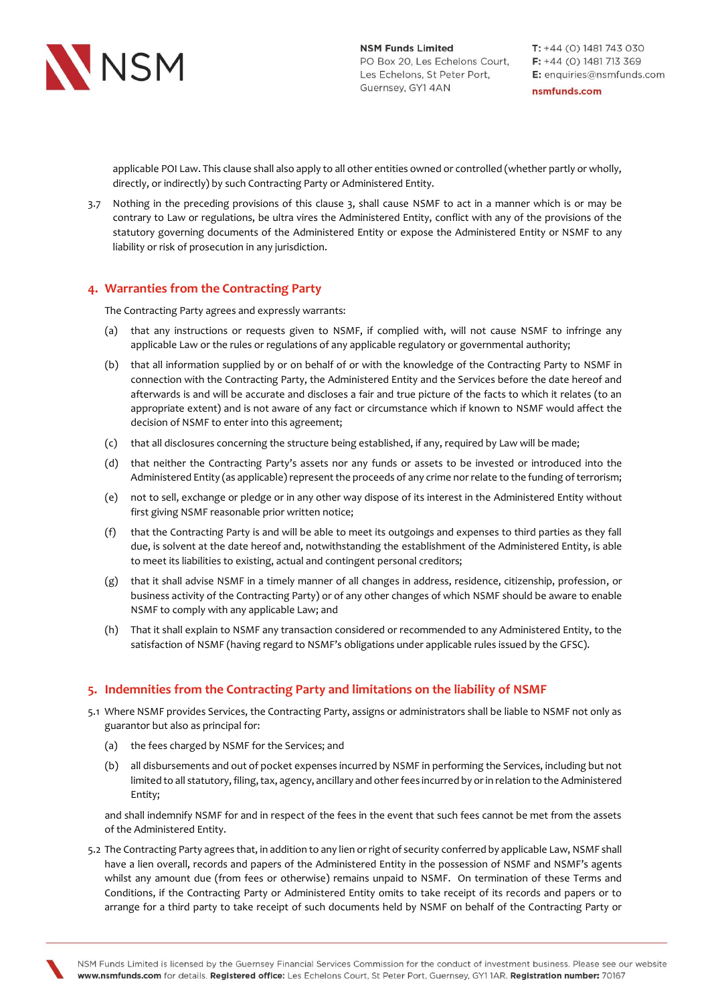

applicable POI Law. This clause shall also apply to all other entities owned or controlled (whether partly or wholly, directly, or indirectly) by such Contracting Party or Administered Entity.

3.7 Nothing in the preceding provisions of this clause 3, shall cause NSMF to act in a manner which is or may be contrary to Law or regulations, be ultra vires the Administered Entity, conflict with any of the provisions of the statutory governing documents of the Administered Entity or expose the Administered Entity or NSMF to any liability or risk of prosecution in any jurisdiction.

## **4. Warranties from the Contracting Party**

The Contracting Party agrees and expressly warrants:

- (a) that any instructions or requests given to NSMF, if complied with, will not cause NSMF to infringe any applicable Law or the rules or regulations of any applicable regulatory or governmental authority;
- (b) that all information supplied by or on behalf of or with the knowledge of the Contracting Party to NSMF in connection with the Contracting Party, the Administered Entity and the Services before the date hereof and afterwards is and will be accurate and discloses a fair and true picture of the facts to which it relates (to an appropriate extent) and is not aware of any fact or circumstance which if known to NSMF would affect the decision of NSMF to enter into this agreement;
- (c) that all disclosures concerning the structure being established, if any, required by Law will be made;
- (d) that neither the Contracting Party's assets nor any funds or assets to be invested or introduced into the Administered Entity (as applicable) represent the proceeds of any crime nor relate to the funding of terrorism;
- (e) not to sell, exchange or pledge or in any other way dispose of its interest in the Administered Entity without first giving NSMF reasonable prior written notice;
- (f) that the Contracting Party is and will be able to meet its outgoings and expenses to third parties as they fall due, is solvent at the date hereof and, notwithstanding the establishment of the Administered Entity, is able to meet its liabilities to existing, actual and contingent personal creditors;
- (g) that it shall advise NSMF in a timely manner of all changes in address, residence, citizenship, profession, or business activity of the Contracting Party) or of any other changes of which NSMF should be aware to enable NSMF to comply with any applicable Law; and
- (h) That it shall explain to NSMF any transaction considered or recommended to any Administered Entity, to the satisfaction of NSMF (having regard to NSMF's obligations under applicable rules issued by the GFSC).

### **5. Indemnities from the Contracting Party and limitations on the liability of NSMF**

- 5.1 Where NSMF provides Services, the Contracting Party, assigns or administrators shall be liable to NSMF not only as guarantor but also as principal for:
	- (a) the fees charged by NSMF for the Services; and
	- (b) all disbursements and out of pocket expenses incurred by NSMF in performing the Services, including but not limited to all statutory, filing, tax, agency, ancillary and other fees incurred by or in relation to the Administered Entity;

and shall indemnify NSMF for and in respect of the fees in the event that such fees cannot be met from the assets of the Administered Entity.

5.2 The Contracting Party agrees that, in addition to any lien or right of security conferred by applicable Law, NSMF shall have a lien overall, records and papers of the Administered Entity in the possession of NSMF and NSMF's agents whilst any amount due (from fees or otherwise) remains unpaid to NSMF. On termination of these Terms and Conditions, if the Contracting Party or Administered Entity omits to take receipt of its records and papers or to arrange for a third party to take receipt of such documents held by NSMF on behalf of the Contracting Party or

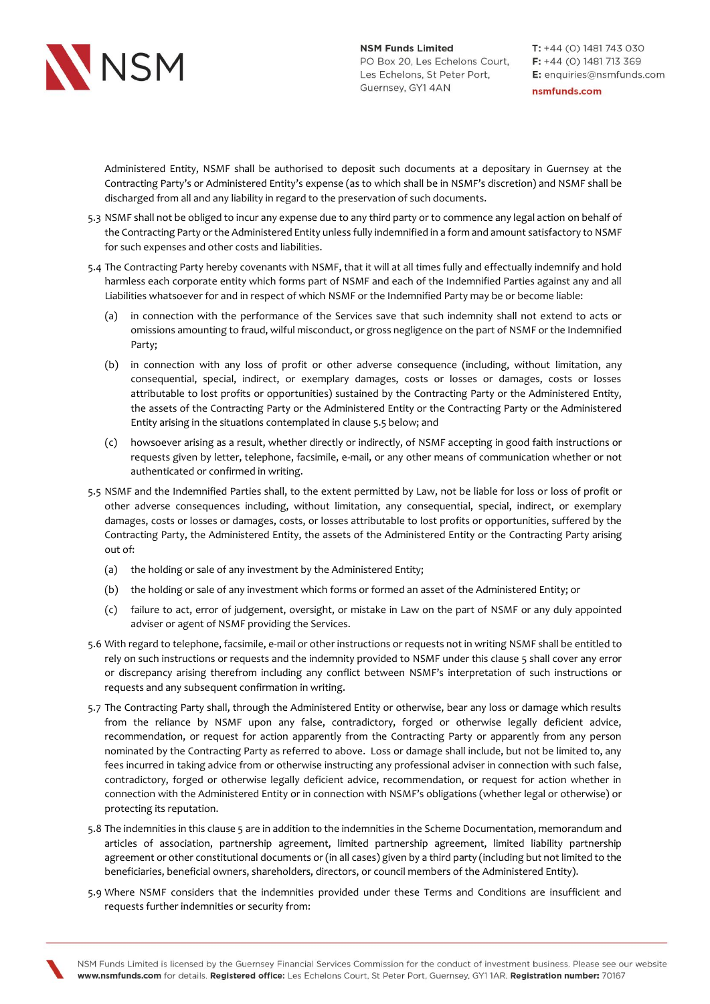

nsmfunds.com

Administered Entity, NSMF shall be authorised to deposit such documents at a depositary in Guernsey at the Contracting Party's or Administered Entity's expense (as to which shall be in NSMF's discretion) and NSMF shall be discharged from all and any liability in regard to the preservation of such documents.

- 5.3 NSMF shall not be obliged to incur any expense due to any third party or to commence any legal action on behalf of the Contracting Party or the Administered Entity unless fully indemnified in a form and amount satisfactory to NSMF for such expenses and other costs and liabilities.
- 5.4 The Contracting Party hereby covenants with NSMF, that it will at all times fully and effectually indemnify and hold harmless each corporate entity which forms part of NSMF and each of the Indemnified Parties against any and all Liabilities whatsoever for and in respect of which NSMF or the Indemnified Party may be or become liable:
	- (a) in connection with the performance of the Services save that such indemnity shall not extend to acts or omissions amounting to fraud, wilful misconduct, or gross negligence on the part of NSMF or the Indemnified Party;
	- (b) in connection with any loss of profit or other adverse consequence (including, without limitation, any consequential, special, indirect, or exemplary damages, costs or losses or damages, costs or losses attributable to lost profits or opportunities) sustained by the Contracting Party or the Administered Entity, the assets of the Contracting Party or the Administered Entity or the Contracting Party or the Administered Entity arising in the situations contemplated in clause 5.5 below; and
	- (c) howsoever arising as a result, whether directly or indirectly, of NSMF accepting in good faith instructions or requests given by letter, telephone, facsimile, e-mail, or any other means of communication whether or not authenticated or confirmed in writing.
- 5.5 NSMF and the Indemnified Parties shall, to the extent permitted by Law, not be liable for loss or loss of profit or other adverse consequences including, without limitation, any consequential, special, indirect, or exemplary damages, costs or losses or damages, costs, or losses attributable to lost profits or opportunities, suffered by the Contracting Party, the Administered Entity, the assets of the Administered Entity or the Contracting Party arising out of:
	- (a) the holding or sale of any investment by the Administered Entity;
	- (b) the holding or sale of any investment which forms or formed an asset of the Administered Entity; or
	- (c) failure to act, error of judgement, oversight, or mistake in Law on the part of NSMF or any duly appointed adviser or agent of NSMF providing the Services.
- 5.6 With regard to telephone, facsimile, e-mail or other instructions or requests not in writing NSMF shall be entitled to rely on such instructions or requests and the indemnity provided to NSMF under this clause 5 shall cover any error or discrepancy arising therefrom including any conflict between NSMF's interpretation of such instructions or requests and any subsequent confirmation in writing.
- 5.7 The Contracting Party shall, through the Administered Entity or otherwise, bear any loss or damage which results from the reliance by NSMF upon any false, contradictory, forged or otherwise legally deficient advice, recommendation, or request for action apparently from the Contracting Party or apparently from any person nominated by the Contracting Party as referred to above. Loss or damage shall include, but not be limited to, any fees incurred in taking advice from or otherwise instructing any professional adviser in connection with such false, contradictory, forged or otherwise legally deficient advice, recommendation, or request for action whether in connection with the Administered Entity or in connection with NSMF's obligations (whether legal or otherwise) or protecting its reputation.
- 5.8 The indemnities in this clause 5 are in addition to the indemnities in the Scheme Documentation, memorandum and articles of association, partnership agreement, limited partnership agreement, limited liability partnership agreement or other constitutional documents or (in all cases) given by a third party (including but not limited to the beneficiaries, beneficial owners, shareholders, directors, or council members of the Administered Entity).
- 5.9 Where NSMF considers that the indemnities provided under these Terms and Conditions are insufficient and requests further indemnities or security from: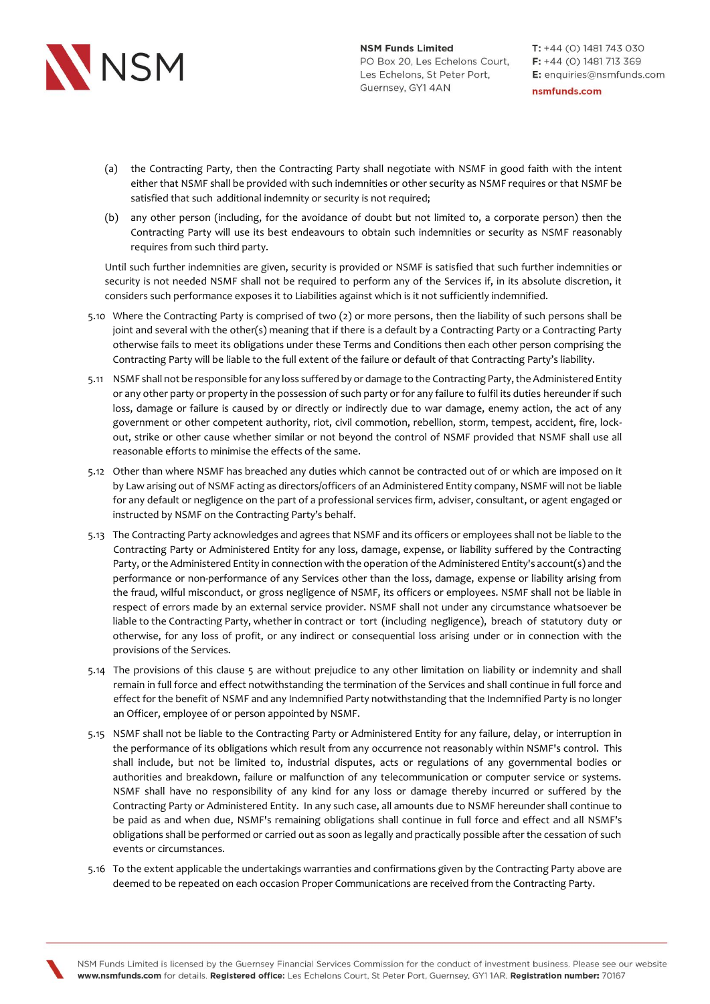

- (a) the Contracting Party, then the Contracting Party shall negotiate with NSMF in good faith with the intent either that NSMF shall be provided with such indemnities or other security as NSMF requires or that NSMF be satisfied that such additional indemnity or security is not required;
- (b) any other person (including, for the avoidance of doubt but not limited to, a corporate person) then the Contracting Party will use its best endeavours to obtain such indemnities or security as NSMF reasonably requires from such third party.

Until such further indemnities are given, security is provided or NSMF is satisfied that such further indemnities or security is not needed NSMF shall not be required to perform any of the Services if, in its absolute discretion, it considers such performance exposes it to Liabilities against which is it not sufficiently indemnified.

- 5.10 Where the Contracting Party is comprised of two (2) or more persons, then the liability of such persons shall be joint and several with the other(s) meaning that if there is a default by a Contracting Party or a Contracting Party otherwise fails to meet its obligations under these Terms and Conditions then each other person comprising the Contracting Party will be liable to the full extent of the failure or default of that Contracting Party's liability.
- 5.11 NSMF shall not be responsible for any loss suffered by or damage to the Contracting Party, the Administered Entity or any other party or property in the possession of such party or for any failure to fulfil its duties hereunder if such loss, damage or failure is caused by or directly or indirectly due to war damage, enemy action, the act of any government or other competent authority, riot, civil commotion, rebellion, storm, tempest, accident, fire, lockout, strike or other cause whether similar or not beyond the control of NSMF provided that NSMF shall use all reasonable efforts to minimise the effects of the same.
- 5.12 Other than where NSMF has breached any duties which cannot be contracted out of or which are imposed on it by Law arising out of NSMF acting as directors/officers of an Administered Entity company, NSMF will not be liable for any default or negligence on the part of a professional services firm, adviser, consultant, or agent engaged or instructed by NSMF on the Contracting Party's behalf.
- 5.13 The Contracting Party acknowledges and agrees that NSMF and its officers or employees shall not be liable to the Contracting Party or Administered Entity for any loss, damage, expense, or liability suffered by the Contracting Party, or the Administered Entity in connection with the operation of the Administered Entity's account(s) and the performance or non-performance of any Services other than the loss, damage, expense or liability arising from the fraud, wilful misconduct, or gross negligence of NSMF, its officers or employees. NSMF shall not be liable in respect of errors made by an external service provider. NSMF shall not under any circumstance whatsoever be liable to the Contracting Party, whether in contract or tort (including negligence), breach of statutory duty or otherwise, for any loss of profit, or any indirect or consequential loss arising under or in connection with the provisions of the Services.
- 5.14 The provisions of this clause 5 are without prejudice to any other limitation on liability or indemnity and shall remain in full force and effect notwithstanding the termination of the Services and shall continue in full force and effect for the benefit of NSMF and any Indemnified Party notwithstanding that the Indemnified Party is no longer an Officer, employee of or person appointed by NSMF.
- 5.15 NSMF shall not be liable to the Contracting Party or Administered Entity for any failure, delay, or interruption in the performance of its obligations which result from any occurrence not reasonably within NSMF's control. This shall include, but not be limited to, industrial disputes, acts or regulations of any governmental bodies or authorities and breakdown, failure or malfunction of any telecommunication or computer service or systems. NSMF shall have no responsibility of any kind for any loss or damage thereby incurred or suffered by the Contracting Party or Administered Entity. In any such case, all amounts due to NSMF hereunder shall continue to be paid as and when due, NSMF's remaining obligations shall continue in full force and effect and all NSMF's obligations shall be performed or carried out as soon as legally and practically possible after the cessation of such events or circumstances.
- 5.16 To the extent applicable the undertakings warranties and confirmations given by the Contracting Party above are deemed to be repeated on each occasion Proper Communications are received from the Contracting Party.

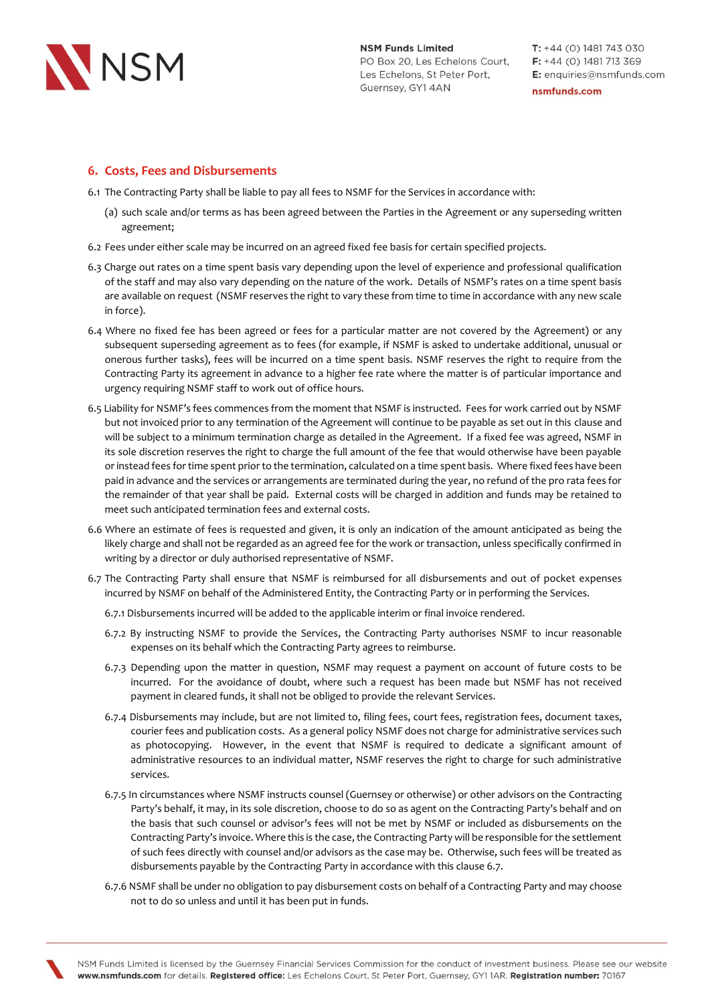

## **6. Costs, Fees and Disbursements**

- 6.1 The Contracting Party shall be liable to pay all fees to NSMF for the Services in accordance with:
	- (a) such scale and/or terms as has been agreed between the Parties in the Agreement or any superseding written agreement;
- 6.2 Fees under either scale may be incurred on an agreed fixed fee basis for certain specified projects.
- 6.3 Charge out rates on a time spent basis vary depending upon the level of experience and professional qualification of the staff and may also vary depending on the nature of the work. Details of NSMF's rates on a time spent basis are available on request (NSMF reserves the right to vary these from time to time in accordance with any new scale in force).
- 6.4 Where no fixed fee has been agreed or fees for a particular matter are not covered by the Agreement) or any subsequent superseding agreement as to fees (for example, if NSMF is asked to undertake additional, unusual or onerous further tasks), fees will be incurred on a time spent basis. NSMF reserves the right to require from the Contracting Party its agreement in advance to a higher fee rate where the matter is of particular importance and urgency requiring NSMF staff to work out of office hours.
- 6.5 Liability for NSMF's fees commences from the moment that NSMF is instructed. Fees for work carried out by NSMF but not invoiced prior to any termination of the Agreement will continue to be payable as set out in this clause and will be subject to a minimum termination charge as detailed in the Agreement. If a fixed fee was agreed, NSMF in its sole discretion reserves the right to charge the full amount of the fee that would otherwise have been payable or instead fees for time spent prior to the termination, calculated on a time spent basis. Where fixed fees have been paid in advance and the services or arrangements are terminated during the year, no refund of the pro rata fees for the remainder of that year shall be paid. External costs will be charged in addition and funds may be retained to meet such anticipated termination fees and external costs.
- 6.6 Where an estimate of fees is requested and given, it is only an indication of the amount anticipated as being the likely charge and shall not be regarded as an agreed fee for the work or transaction, unless specifically confirmed in writing by a director or duly authorised representative of NSMF.
- 6.7 The Contracting Party shall ensure that NSMF is reimbursed for all disbursements and out of pocket expenses incurred by NSMF on behalf of the Administered Entity, the Contracting Party or in performing the Services.
	- 6.7.1 Disbursements incurred will be added to the applicable interim or final invoice rendered.
	- 6.7.2 By instructing NSMF to provide the Services, the Contracting Party authorises NSMF to incur reasonable expenses on its behalf which the Contracting Party agrees to reimburse.
	- 6.7.3 Depending upon the matter in question, NSMF may request a payment on account of future costs to be incurred. For the avoidance of doubt, where such a request has been made but NSMF has not received payment in cleared funds, it shall not be obliged to provide the relevant Services.
	- 6.7.4 Disbursements may include, but are not limited to, filing fees, court fees, registration fees, document taxes, courier fees and publication costs. As a general policy NSMF does not charge for administrative services such as photocopying. However, in the event that NSMF is required to dedicate a significant amount of administrative resources to an individual matter, NSMF reserves the right to charge for such administrative services.
	- 6.7.5 In circumstances where NSMF instructs counsel (Guernsey or otherwise) or other advisors on the Contracting Party's behalf, it may, in its sole discretion, choose to do so as agent on the Contracting Party's behalf and on the basis that such counsel or advisor's fees will not be met by NSMF or included as disbursements on the Contracting Party's invoice. Where this is the case, the Contracting Party will be responsible for the settlement of such fees directly with counsel and/or advisors as the case may be. Otherwise, such fees will be treated as disbursements payable by the Contracting Party in accordance with this clause 6.7.
	- 6.7.6 NSMF shall be under no obligation to pay disbursement costs on behalf of a Contracting Party and may choose not to do so unless and until it has been put in funds.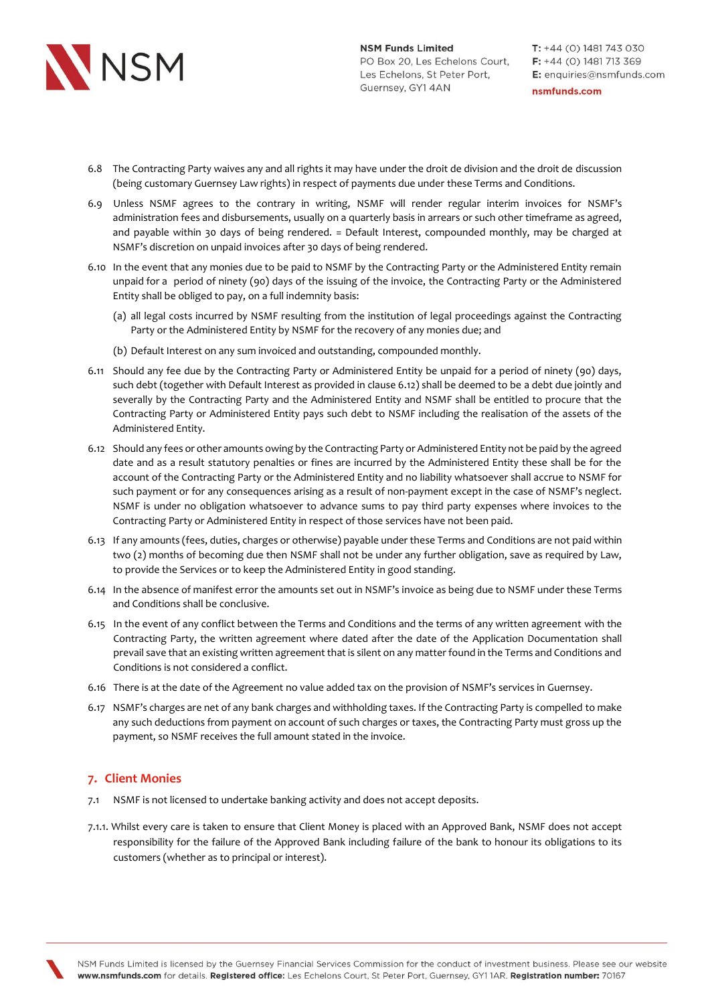

- 6.8 The Contracting Party waives any and all rights it may have under the droit de division and the droit de discussion (being customary Guernsey Law rights) in respect of payments due under these Terms and Conditions.
- 6.9 Unless NSMF agrees to the contrary in writing, NSMF will render regular interim invoices for NSMF's administration fees and disbursements, usually on a quarterly basis in arrears or such other timeframe as agreed, and payable within 30 days of being rendered. = Default Interest, compounded monthly, may be charged at NSMF's discretion on unpaid invoices after 30 days of being rendered.
- 6.10 In the event that any monies due to be paid to NSMF by the Contracting Party or the Administered Entity remain unpaid for a period of ninety (90) days of the issuing of the invoice, the Contracting Party or the Administered Entity shall be obliged to pay, on a full indemnity basis:
	- (a) all legal costs incurred by NSMF resulting from the institution of legal proceedings against the Contracting Party or the Administered Entity by NSMF for the recovery of any monies due; and
	- (b) Default Interest on any sum invoiced and outstanding, compounded monthly.
- 6.11 Should any fee due by the Contracting Party or Administered Entity be unpaid for a period of ninety (90) days, such debt (together with Default Interest as provided in clause 6.12) shall be deemed to be a debt due jointly and severally by the Contracting Party and the Administered Entity and NSMF shall be entitled to procure that the Contracting Party or Administered Entity pays such debt to NSMF including the realisation of the assets of the Administered Entity.
- 6.12 Should any fees or other amounts owing by the Contracting Party or Administered Entity not be paid by the agreed date and as a result statutory penalties or fines are incurred by the Administered Entity these shall be for the account of the Contracting Party or the Administered Entity and no liability whatsoever shall accrue to NSMF for such payment or for any consequences arising as a result of non-payment except in the case of NSMF's neglect. NSMF is under no obligation whatsoever to advance sums to pay third party expenses where invoices to the Contracting Party or Administered Entity in respect of those services have not been paid.
- 6.13 If any amounts (fees, duties, charges or otherwise) payable under these Terms and Conditions are not paid within two (2) months of becoming due then NSMF shall not be under any further obligation, save as required by Law, to provide the Services or to keep the Administered Entity in good standing.
- 6.14 In the absence of manifest error the amounts set out in NSMF's invoice as being due to NSMF under these Terms and Conditions shall be conclusive.
- 6.15 In the event of any conflict between the Terms and Conditions and the terms of any written agreement with the Contracting Party, the written agreement where dated after the date of the Application Documentation shall prevail save that an existing written agreement that is silent on any matter found in the Terms and Conditions and Conditions is not considered a conflict.
- 6.16 There is at the date of the Agreement no value added tax on the provision of NSMF's services in Guernsey.
- 6.17 NSMF's charges are net of any bank charges and withholding taxes. If the Contracting Party is compelled to make any such deductions from payment on account of such charges or taxes, the Contracting Party must gross up the payment, so NSMF receives the full amount stated in the invoice.

### **7. Client Monies**

- 7.1 NSMF is not licensed to undertake banking activity and does not accept deposits.
- 7.1.1. Whilst every care is taken to ensure that Client Money is placed with an Approved Bank, NSMF does not accept responsibility for the failure of the Approved Bank including failure of the bank to honour its obligations to its customers (whether as to principal or interest).

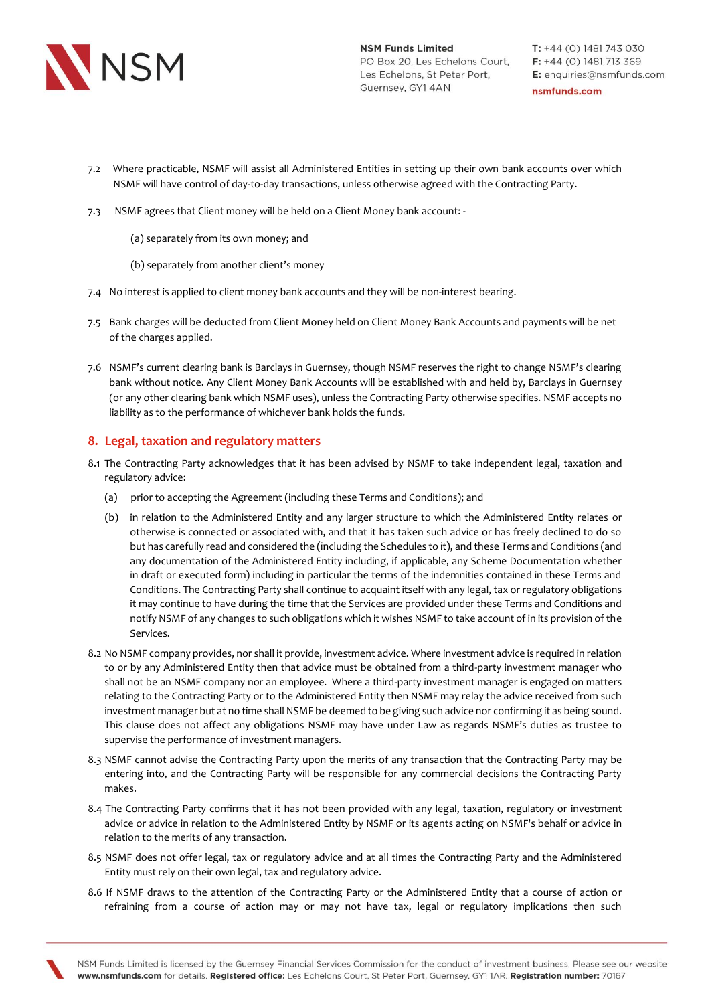

- 7.2 Where practicable, NSMF will assist all Administered Entities in setting up their own bank accounts over which NSMF will have control of day-to-day transactions, unless otherwise agreed with the Contracting Party.
- 7.3 NSMF agrees that Client money will be held on a Client Money bank account:
	- (a) separately from its own money; and
	- (b) separately from another client's money
- 7.4 No interest is applied to client money bank accounts and they will be non-interest bearing.
- 7.5 Bank charges will be deducted from Client Money held on Client Money Bank Accounts and payments will be net of the charges applied.
- 7.6 NSMF's current clearing bank is Barclays in Guernsey, though NSMF reserves the right to change NSMF's clearing bank without notice. Any Client Money Bank Accounts will be established with and held by, Barclays in Guernsey (or any other clearing bank which NSMF uses), unless the Contracting Party otherwise specifies. NSMF accepts no liability as to the performance of whichever bank holds the funds.

## **8. Legal, taxation and regulatory matters**

- 8.1 The Contracting Party acknowledges that it has been advised by NSMF to take independent legal, taxation and regulatory advice:
	- (a) prior to accepting the Agreement (including these Terms and Conditions); and
	- (b) in relation to the Administered Entity and any larger structure to which the Administered Entity relates or otherwise is connected or associated with, and that it has taken such advice or has freely declined to do so but has carefully read and considered the (including the Schedules to it), and these Terms and Conditions (and any documentation of the Administered Entity including, if applicable, any Scheme Documentation whether in draft or executed form) including in particular the terms of the indemnities contained in these Terms and Conditions. The Contracting Party shall continue to acquaint itself with any legal, tax or regulatory obligations it may continue to have during the time that the Services are provided under these Terms and Conditions and notify NSMF of any changes to such obligations which it wishes NSMF to take account of in its provision of the Services.
- 8.2 No NSMF company provides, nor shall it provide, investment advice. Where investment advice is required in relation to or by any Administered Entity then that advice must be obtained from a third-party investment manager who shall not be an NSMF company nor an employee. Where a third-party investment manager is engaged on matters relating to the Contracting Party or to the Administered Entity then NSMF may relay the advice received from such investment manager but at no time shall NSMF be deemed to be giving such advice nor confirming it as being sound. This clause does not affect any obligations NSMF may have under Law as regards NSMF's duties as trustee to supervise the performance of investment managers.
- 8.3 NSMF cannot advise the Contracting Party upon the merits of any transaction that the Contracting Party may be entering into, and the Contracting Party will be responsible for any commercial decisions the Contracting Party makes.
- 8.4 The Contracting Party confirms that it has not been provided with any legal, taxation, regulatory or investment advice or advice in relation to the Administered Entity by NSMF or its agents acting on NSMF's behalf or advice in relation to the merits of any transaction.
- 8.5 NSMF does not offer legal, tax or regulatory advice and at all times the Contracting Party and the Administered Entity must rely on their own legal, tax and regulatory advice.
- 8.6 If NSMF draws to the attention of the Contracting Party or the Administered Entity that a course of action or refraining from a course of action may or may not have tax, legal or regulatory implications then such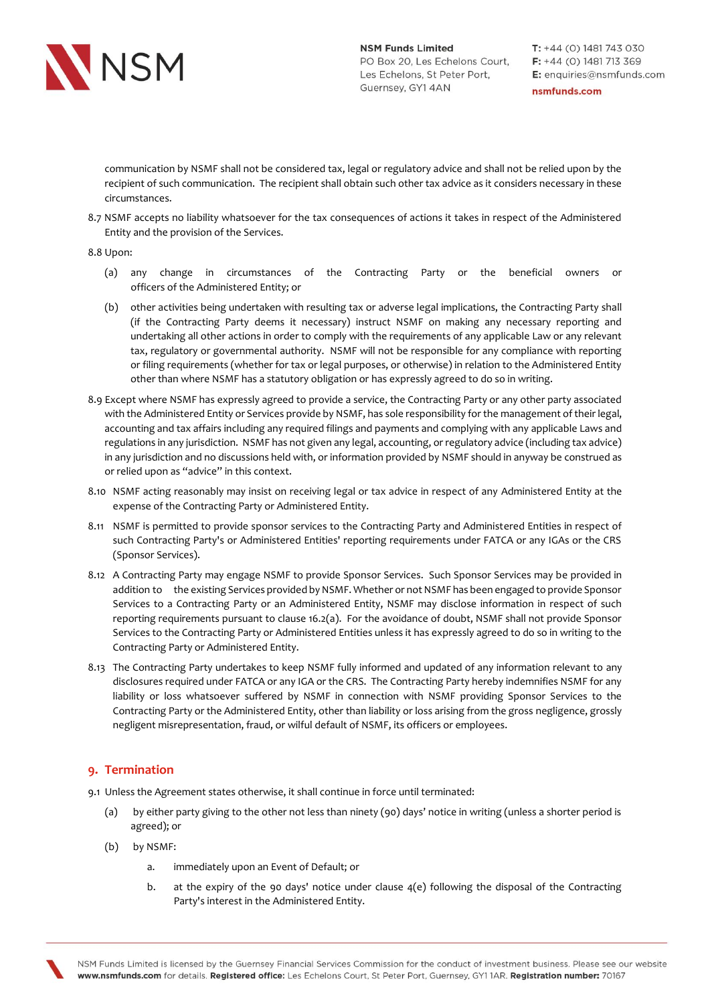

 $T: +44(0)$  1481 743 030  $F: +44(0)$  1481 713 369 E: enquiries@nsmfunds.com

nsmfunds.com

communication by NSMF shall not be considered tax, legal or regulatory advice and shall not be relied upon by the recipient of such communication. The recipient shall obtain such other tax advice as it considers necessary in these circumstances.

8.7 NSMF accepts no liability whatsoever for the tax consequences of actions it takes in respect of the Administered Entity and the provision of the Services.

8.8 Upon:

- (a) any change in circumstances of the Contracting Party or the beneficial owners or officers of the Administered Entity; or
- (b) other activities being undertaken with resulting tax or adverse legal implications, the Contracting Party shall (if the Contracting Party deems it necessary) instruct NSMF on making any necessary reporting and undertaking all other actions in order to comply with the requirements of any applicable Law or any relevant tax, regulatory or governmental authority. NSMF will not be responsible for any compliance with reporting or filing requirements (whether for tax or legal purposes, or otherwise) in relation to the Administered Entity other than where NSMF has a statutory obligation or has expressly agreed to do so in writing.
- 8.9 Except where NSMF has expressly agreed to provide a service, the Contracting Party or any other party associated with the Administered Entity or Services provide by NSMF, has sole responsibility for the management of their legal, accounting and tax affairs including any required filings and payments and complying with any applicable Laws and regulations in any jurisdiction. NSMF has not given any legal, accounting, or regulatory advice (including tax advice) in any jurisdiction and no discussions held with, or information provided by NSMF should in anyway be construed as or relied upon as "advice" in this context.
- 8.10 NSMF acting reasonably may insist on receiving legal or tax advice in respect of any Administered Entity at the expense of the Contracting Party or Administered Entity.
- 8.11 NSMF is permitted to provide sponsor services to the Contracting Party and Administered Entities in respect of such Contracting Party's or Administered Entities' reporting requirements under FATCA or any IGAs or the CRS (Sponsor Services).
- 8.12 A Contracting Party may engage NSMF to provide Sponsor Services. Such Sponsor Services may be provided in addition to the existing Services provided by NSMF. Whether or not NSMF has been engaged to provide Sponsor Services to a Contracting Party or an Administered Entity, NSMF may disclose information in respect of such reporting requirements pursuant to clause 16.2(a). For the avoidance of doubt, NSMF shall not provide Sponsor Services to the Contracting Party or Administered Entities unless it has expressly agreed to do so in writing to the Contracting Party or Administered Entity.
- 8.13 The Contracting Party undertakes to keep NSMF fully informed and updated of any information relevant to any disclosures required under FATCA or any IGA or the CRS. The Contracting Party hereby indemnifies NSMF for any liability or loss whatsoever suffered by NSMF in connection with NSMF providing Sponsor Services to the Contracting Party or the Administered Entity, other than liability or loss arising from the gross negligence, grossly negligent misrepresentation, fraud, or wilful default of NSMF, its officers or employees.

## **9. Termination**

9.1 Unless the Agreement states otherwise, it shall continue in force until terminated:

- (a) by either party giving to the other not less than ninety (90) days' notice in writing (unless a shorter period is agreed); or
- (b) by NSMF:
	- a. immediately upon an Event of Default; or
	- b. at the expiry of the 90 days' notice under clause 4(e) following the disposal of the Contracting Party's interest in the Administered Entity.

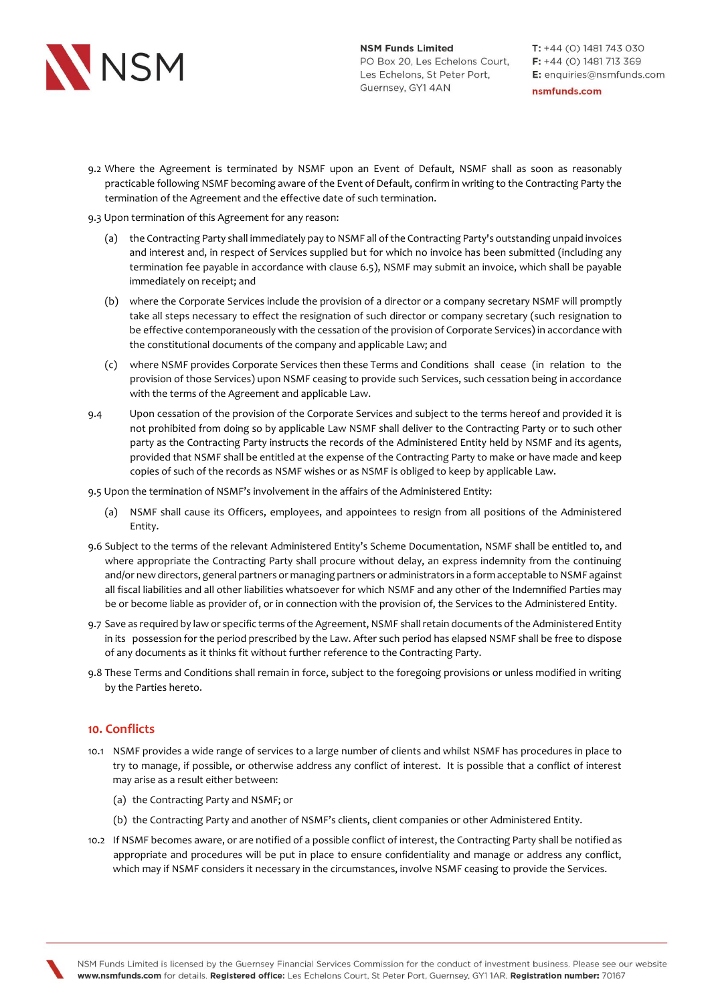

- 9.2 Where the Agreement is terminated by NSMF upon an Event of Default, NSMF shall as soon as reasonably practicable following NSMF becoming aware of the Event of Default, confirm in writing to the Contracting Party the termination of the Agreement and the effective date of such termination.
- 9.3 Upon termination of this Agreement for any reason:
	- (a) the Contracting Party shall immediately pay to NSMF all of the Contracting Party's outstanding unpaid invoices and interest and, in respect of Services supplied but for which no invoice has been submitted (including any termination fee payable in accordance with clause 6.5), NSMF may submit an invoice, which shall be payable immediately on receipt; and
	- (b) where the Corporate Services include the provision of a director or a company secretary NSMF will promptly take all steps necessary to effect the resignation of such director or company secretary (such resignation to be effective contemporaneously with the cessation of the provision of Corporate Services) in accordance with the constitutional documents of the company and applicable Law; and
	- (c) where NSMF provides Corporate Services then these Terms and Conditions shall cease (in relation to the provision of those Services) upon NSMF ceasing to provide such Services, such cessation being in accordance with the terms of the Agreement and applicable Law.
- 9.4 Upon cessation of the provision of the Corporate Services and subject to the terms hereof and provided it is not prohibited from doing so by applicable Law NSMF shall deliver to the Contracting Party or to such other party as the Contracting Party instructs the records of the Administered Entity held by NSMF and its agents, provided that NSMF shall be entitled at the expense of the Contracting Party to make or have made and keep copies of such of the records as NSMF wishes or as NSMF is obliged to keep by applicable Law.

9.5 Upon the termination of NSMF's involvement in the affairs of the Administered Entity:

- (a) NSMF shall cause its Officers, employees, and appointees to resign from all positions of the Administered Entity.
- 9.6 Subject to the terms of the relevant Administered Entity's Scheme Documentation, NSMF shall be entitled to, and where appropriate the Contracting Party shall procure without delay, an express indemnity from the continuing and/or new directors, general partners or managing partners or administrators in a form acceptable to NSMF against all fiscal liabilities and all other liabilities whatsoever for which NSMF and any other of the Indemnified Parties may be or become liable as provider of, or in connection with the provision of, the Services to the Administered Entity.
- 9.7 Save as required by law or specific terms of the Agreement, NSMF shall retain documents of the Administered Entity in its possession for the period prescribed by the Law. After such period has elapsed NSMF shall be free to dispose of any documents as it thinks fit without further reference to the Contracting Party.
- 9.8 These Terms and Conditions shall remain in force, subject to the foregoing provisions or unless modified in writing by the Parties hereto.

## **10. Conflicts**

- 10.1 NSMF provides a wide range of services to a large number of clients and whilst NSMF has procedures in place to try to manage, if possible, or otherwise address any conflict of interest. It is possible that a conflict of interest may arise as a result either between:
	- (a) the Contracting Party and NSMF; or
	- (b) the Contracting Party and another of NSMF's clients, client companies or other Administered Entity.
- 10.2 If NSMF becomes aware, or are notified of a possible conflict of interest, the Contracting Party shall be notified as appropriate and procedures will be put in place to ensure confidentiality and manage or address any conflict, which may if NSMF considers it necessary in the circumstances, involve NSMF ceasing to provide the Services.

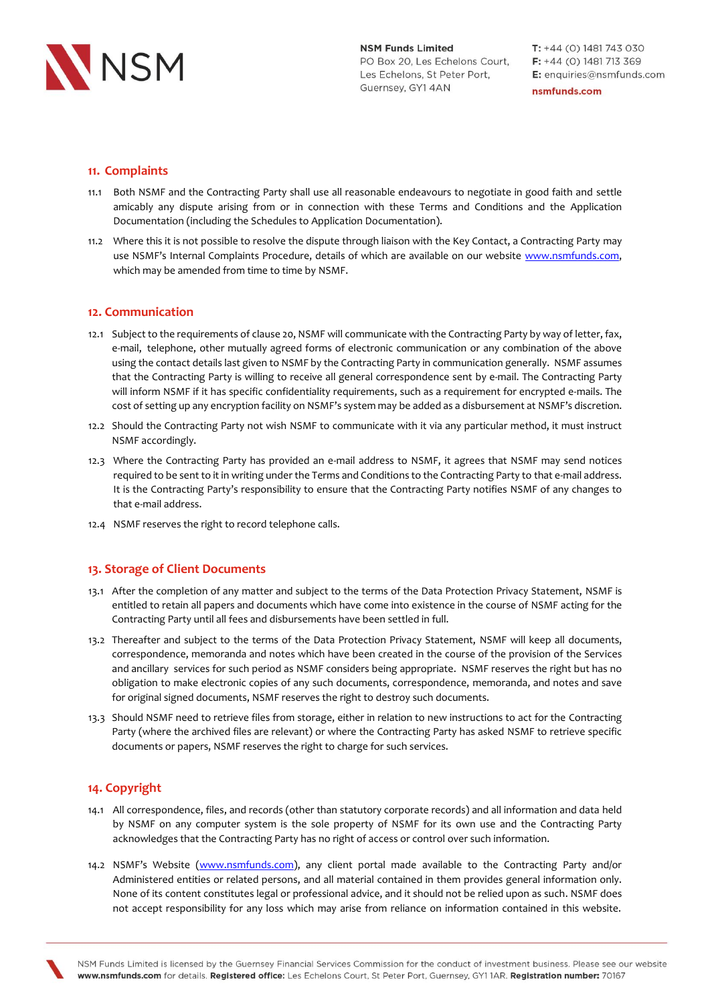

 $T: +44(0)$  1481 743 030  $F: +44(0)$  1481 713 369 E: enquiries@nsmfunds.com nsmfunds.com

# **11. Complaints**

- 11.1 Both NSMF and the Contracting Party shall use all reasonable endeavours to negotiate in good faith and settle amicably any dispute arising from or in connection with these Terms and Conditions and the Application Documentation (including the Schedules to Application Documentation).
- 11.2 Where this it is not possible to resolve the dispute through liaison with the Key Contact, a Contracting Party may use NSMF's Internal Complaints Procedure, details of which are available on our website www.nsmfunds.com, which may be amended from time to time by NSMF.

## **12. Communication**

- 12.1 Subject to the requirements of clause 20, NSMF will communicate with the Contracting Party by way of letter, fax, e-mail, telephone, other mutually agreed forms of electronic communication or any combination of the above using the contact details last given to NSMF by the Contracting Party in communication generally. NSMF assumes that the Contracting Party is willing to receive all general correspondence sent by e-mail. The Contracting Party will inform NSMF if it has specific confidentiality requirements, such as a requirement for encrypted e-mails. The cost of setting up any encryption facility on NSMF's system may be added as a disbursement at NSMF's discretion.
- 12.2 Should the Contracting Party not wish NSMF to communicate with it via any particular method, it must instruct NSMF accordingly.
- 12.3 Where the Contracting Party has provided an e-mail address to NSMF, it agrees that NSMF may send notices required to be sent to it in writing under the Terms and Conditions to the Contracting Party to that e-mail address. It is the Contracting Party's responsibility to ensure that the Contracting Party notifies NSMF of any changes to that e-mail address.
- 12.4 NSMF reserves the right to record telephone calls.

## **13. Storage of Client Documents**

- 13.1 After the completion of any matter and subject to the terms of the Data Protection Privacy Statement, NSMF is entitled to retain all papers and documents which have come into existence in the course of NSMF acting for the Contracting Party until all fees and disbursements have been settled in full.
- 13.2 Thereafter and subject to the terms of the Data Protection Privacy Statement, NSMF will keep all documents, correspondence, memoranda and notes which have been created in the course of the provision of the Services and ancillary services for such period as NSMF considers being appropriate. NSMF reserves the right but has no obligation to make electronic copies of any such documents, correspondence, memoranda, and notes and save for original signed documents, NSMF reserves the right to destroy such documents.
- 13.3 Should NSMF need to retrieve files from storage, either in relation to new instructions to act for the Contracting Party (where the archived files are relevant) or where the Contracting Party has asked NSMF to retrieve specific documents or papers, NSMF reserves the right to charge for such services.

## **14. Copyright**

- 14.1 All correspondence, files, and records (other than statutory corporate records) and all information and data held by NSMF on any computer system is the sole property of NSMF for its own use and the Contracting Party acknowledges that the Contracting Party has no right of access or control over such information.
- 14.2 NSMF's Website [\(www.nsmfunds.com\)](http://www.nsmfunds.com/), any client portal made available to the Contracting Party and/or Administered entities or related persons, and all material contained in them provides general information only. None of its content constitutes legal or professional advice, and it should not be relied upon as such. NSMF does not accept responsibility for any loss which may arise from reliance on information contained in this website.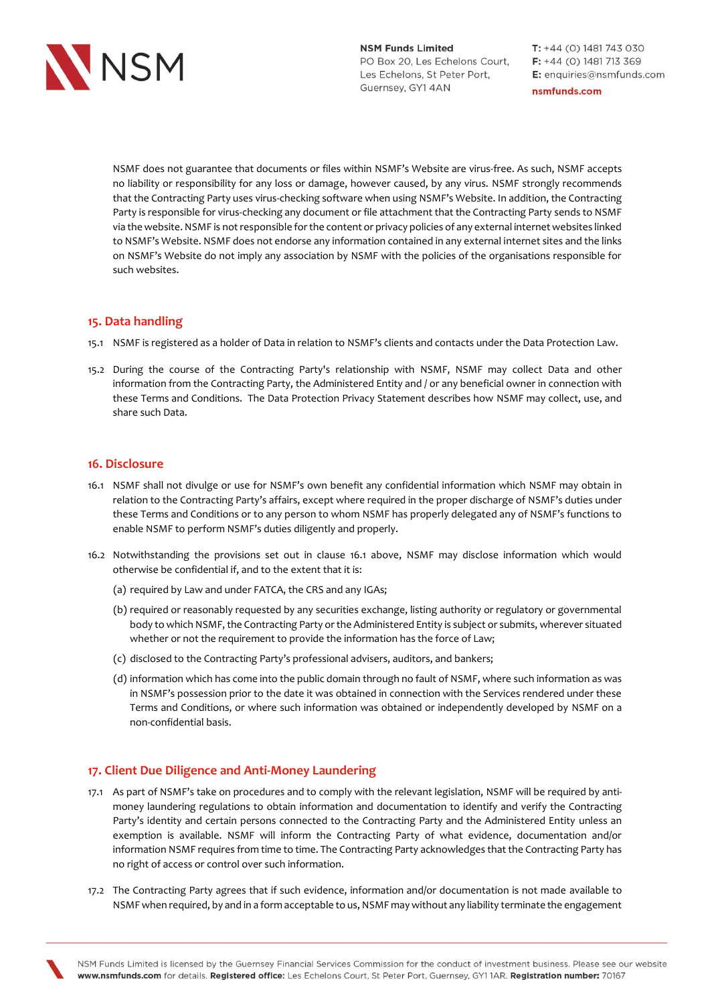

 $T: +44(0)$  1481 743 030  $F: +44(0)$  1481 713 369 E: enquiries@nsmfunds.com

nsmfunds.com

NSMF does not guarantee that documents or files within NSMF's Website are virus-free. As such, NSMF accepts no liability or responsibility for any loss or damage, however caused, by any virus. NSMF strongly recommends that the Contracting Party uses virus-checking software when using NSMF's Website. In addition, the Contracting Party is responsible for virus-checking any document or file attachment that the Contracting Party sends to NSMF via the website. NSMF is not responsible for the content or privacy policies of any external internet websites linked to NSMF's Website. NSMF does not endorse any information contained in any external internet sites and the links on NSMF's Website do not imply any association by NSMF with the policies of the organisations responsible for such websites.

## **15. Data handling**

- 15.1 NSMF is registered as a holder of Data in relation to NSMF's clients and contacts under the Data Protection Law.
- 15.2 During the course of the Contracting Party's relationship with NSMF, NSMF may collect Data and other information from the Contracting Party, the Administered Entity and / or any beneficial owner in connection with these Terms and Conditions. The Data Protection Privacy Statement describes how NSMF may collect, use, and share such Data.

## **16. Disclosure**

- 16.1 NSMF shall not divulge or use for NSMF's own benefit any confidential information which NSMF may obtain in relation to the Contracting Party's affairs, except where required in the proper discharge of NSMF's duties under these Terms and Conditions or to any person to whom NSMF has properly delegated any of NSMF's functions to enable NSMF to perform NSMF's duties diligently and properly.
- 16.2 Notwithstanding the provisions set out in clause 16.1 above, NSMF may disclose information which would otherwise be confidential if, and to the extent that it is:
	- (a) required by Law and under FATCA, the CRS and any IGAs;
	- (b) required or reasonably requested by any securities exchange, listing authority or regulatory or governmental body to which NSMF, the Contracting Party or the Administered Entity is subject or submits, wherever situated whether or not the requirement to provide the information has the force of Law;
	- (c) disclosed to the Contracting Party's professional advisers, auditors, and bankers;
	- (d) information which has come into the public domain through no fault of NSMF, where such information as was in NSMF's possession prior to the date it was obtained in connection with the Services rendered under these Terms and Conditions, or where such information was obtained or independently developed by NSMF on a non-confidential basis.

## **17. Client Due Diligence and Anti-Money Laundering**

- 17.1 As part of NSMF's take on procedures and to comply with the relevant legislation, NSMF will be required by antimoney laundering regulations to obtain information and documentation to identify and verify the Contracting Party's identity and certain persons connected to the Contracting Party and the Administered Entity unless an exemption is available. NSMF will inform the Contracting Party of what evidence, documentation and/or information NSMF requires from time to time. The Contracting Party acknowledges that the Contracting Party has no right of access or control over such information.
- 17.2 The Contracting Party agrees that if such evidence, information and/or documentation is not made available to NSMF when required, by and in a form acceptable to us, NSMF may without any liability terminate the engagement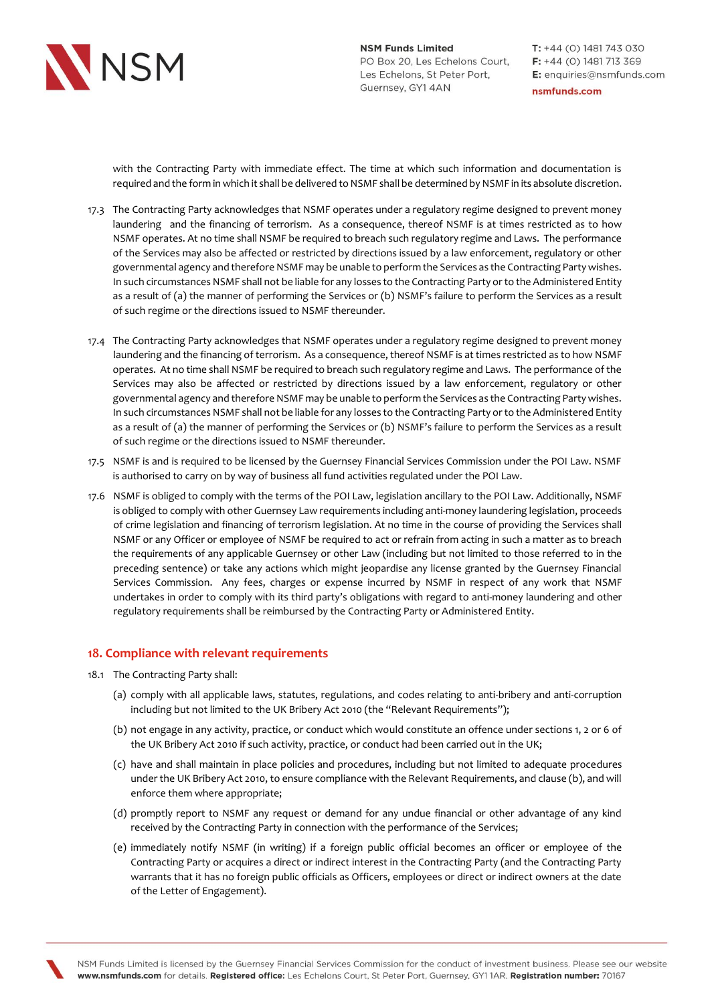

 $T: +44(0)$  1481 743 030  $F: +44(0)$  1481 713 369 E: enquiries@nsmfunds.com

nsmfunds.com

with the Contracting Party with immediate effect. The time at which such information and documentation is required and the form in which it shall be delivered to NSMF shall be determined by NSMF in its absolute discretion.

- 17.3 The Contracting Party acknowledges that NSMF operates under a regulatory regime designed to prevent money laundering and the financing of terrorism. As a consequence, thereof NSMF is at times restricted as to how NSMF operates. At no time shall NSMF be required to breach such regulatory regime and Laws. The performance of the Services may also be affected or restricted by directions issued by a law enforcement, regulatory or other governmental agency and therefore NSMF may be unable to perform the Services as the Contracting Party wishes. In such circumstances NSMF shall not be liable for any losses to the Contracting Party or to the Administered Entity as a result of (a) the manner of performing the Services or (b) NSMF's failure to perform the Services as a result of such regime or the directions issued to NSMF thereunder.
- 17.4 The Contracting Party acknowledges that NSMF operates under a regulatory regime designed to prevent money laundering and the financing of terrorism. As a consequence, thereof NSMF is at times restricted as to how NSMF operates. At no time shall NSMF be required to breach such regulatory regime and Laws. The performance of the Services may also be affected or restricted by directions issued by a law enforcement, regulatory or other governmental agency and therefore NSMF may be unable to perform the Services as the Contracting Party wishes. In such circumstances NSMF shall not be liable for any losses to the Contracting Party or to the Administered Entity as a result of (a) the manner of performing the Services or (b) NSMF's failure to perform the Services as a result of such regime or the directions issued to NSMF thereunder.
- 17.5 NSMF is and is required to be licensed by the Guernsey Financial Services Commission under the POI Law. NSMF is authorised to carry on by way of business all fund activities regulated under the POI Law.
- 17.6 NSMF is obliged to comply with the terms of the POI Law, legislation ancillary to the POI Law. Additionally, NSMF is obliged to comply with other Guernsey Law requirements including anti-money laundering legislation, proceeds of crime legislation and financing of terrorism legislation. At no time in the course of providing the Services shall NSMF or any Officer or employee of NSMF be required to act or refrain from acting in such a matter as to breach the requirements of any applicable Guernsey or other Law (including but not limited to those referred to in the preceding sentence) or take any actions which might jeopardise any license granted by the Guernsey Financial Services Commission. Any fees, charges or expense incurred by NSMF in respect of any work that NSMF undertakes in order to comply with its third party's obligations with regard to anti-money laundering and other regulatory requirements shall be reimbursed by the Contracting Party or Administered Entity.

### **18. Compliance with relevant requirements**

- 18.1 The Contracting Party shall:
	- (a) comply with all applicable laws, statutes, regulations, and codes relating to anti-bribery and anti-corruption including but not limited to the UK Bribery Act 2010 (the "Relevant Requirements");
	- (b) not engage in any activity, practice, or conduct which would constitute an offence under sections 1, 2 or 6 of the UK Bribery Act 2010 if such activity, practice, or conduct had been carried out in the UK;
	- (c) have and shall maintain in place policies and procedures, including but not limited to adequate procedures under the UK Bribery Act 2010, to ensure compliance with the Relevant Requirements, and clause (b), and will enforce them where appropriate;
	- (d) promptly report to NSMF any request or demand for any undue financial or other advantage of any kind received by the Contracting Party in connection with the performance of the Services;
	- (e) immediately notify NSMF (in writing) if a foreign public official becomes an officer or employee of the Contracting Party or acquires a direct or indirect interest in the Contracting Party (and the Contracting Party warrants that it has no foreign public officials as Officers, employees or direct or indirect owners at the date of the Letter of Engagement).

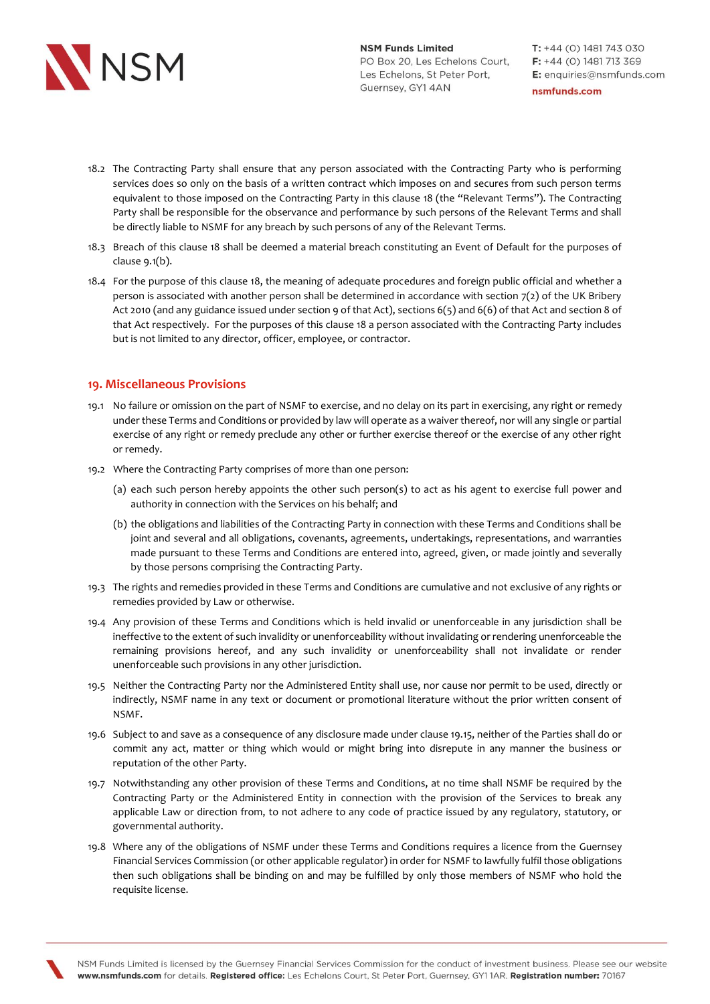

- 18.2 The Contracting Party shall ensure that any person associated with the Contracting Party who is performing services does so only on the basis of a written contract which imposes on and secures from such person terms equivalent to those imposed on the Contracting Party in this clause 18 (the "Relevant Terms"). The Contracting Party shall be responsible for the observance and performance by such persons of the Relevant Terms and shall be directly liable to NSMF for any breach by such persons of any of the Relevant Terms.
- 18.3 Breach of this clause 18 shall be deemed a material breach constituting an Event of Default for the purposes of clause 9.1(b).
- 18.4 For the purpose of this clause 18, the meaning of adequate procedures and foreign public official and whether a person is associated with another person shall be determined in accordance with section 7(2) of the UK Bribery Act 2010 (and any guidance issued under section 9 of that Act), sections 6(5) and 6(6) of that Act and section 8 of that Act respectively. For the purposes of this clause 18 a person associated with the Contracting Party includes but is not limited to any director, officer, employee, or contractor.

## **19. Miscellaneous Provisions**

- 19.1 No failure or omission on the part of NSMF to exercise, and no delay on its part in exercising, any right or remedy under these Terms and Conditions or provided by law will operate as a waiver thereof, nor will any single or partial exercise of any right or remedy preclude any other or further exercise thereof or the exercise of any other right or remedy.
- 19.2 Where the Contracting Party comprises of more than one person:
	- (a) each such person hereby appoints the other such person(s) to act as his agent to exercise full power and authority in connection with the Services on his behalf; and
	- (b) the obligations and liabilities of the Contracting Party in connection with these Terms and Conditions shall be joint and several and all obligations, covenants, agreements, undertakings, representations, and warranties made pursuant to these Terms and Conditions are entered into, agreed, given, or made jointly and severally by those persons comprising the Contracting Party.
- 19.3 The rights and remedies provided in these Terms and Conditions are cumulative and not exclusive of any rights or remedies provided by Law or otherwise.
- 19.4 Any provision of these Terms and Conditions which is held invalid or unenforceable in any jurisdiction shall be ineffective to the extent of such invalidity or unenforceability without invalidating or rendering unenforceable the remaining provisions hereof, and any such invalidity or unenforceability shall not invalidate or render unenforceable such provisions in any other jurisdiction.
- 19.5 Neither the Contracting Party nor the Administered Entity shall use, nor cause nor permit to be used, directly or indirectly, NSMF name in any text or document or promotional literature without the prior written consent of NSMF.
- 19.6 Subject to and save as a consequence of any disclosure made under clause 19.15, neither of the Parties shall do or commit any act, matter or thing which would or might bring into disrepute in any manner the business or reputation of the other Party.
- 19.7 Notwithstanding any other provision of these Terms and Conditions, at no time shall NSMF be required by the Contracting Party or the Administered Entity in connection with the provision of the Services to break any applicable Law or direction from, to not adhere to any code of practice issued by any regulatory, statutory, or governmental authority.
- 19.8 Where any of the obligations of NSMF under these Terms and Conditions requires a licence from the Guernsey Financial Services Commission (or other applicable regulator) in order for NSMF to lawfully fulfil those obligations then such obligations shall be binding on and may be fulfilled by only those members of NSMF who hold the requisite license.

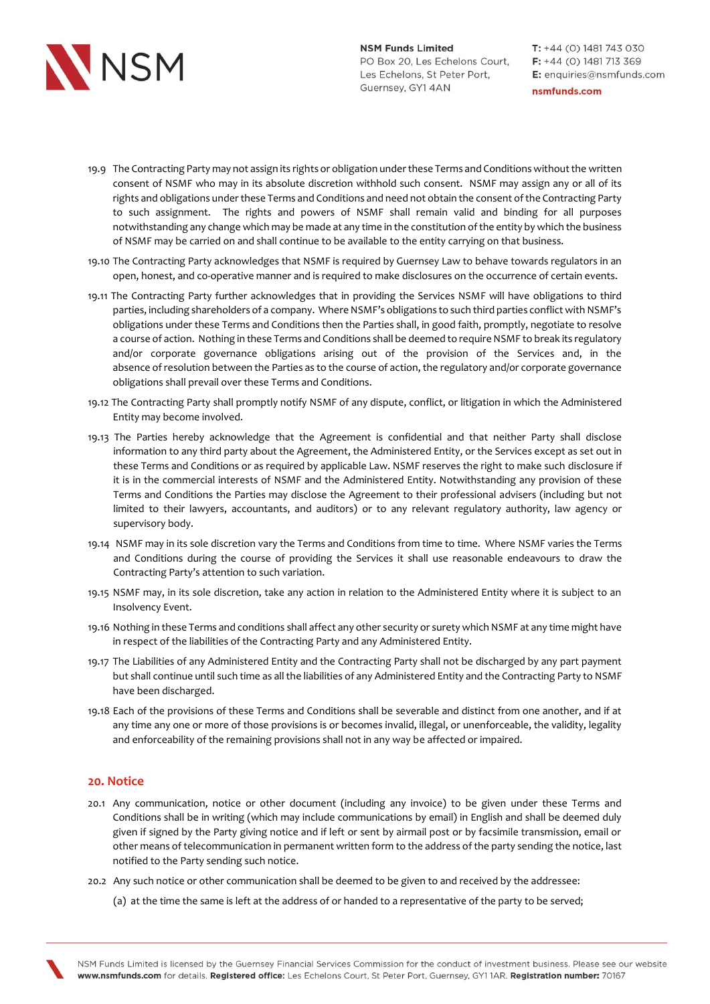

- 19.9 The Contracting Party may not assign its rights or obligation under these Terms and Conditions without the written consent of NSMF who may in its absolute discretion withhold such consent. NSMF may assign any or all of its rights and obligations under these Terms and Conditions and need not obtain the consent of the Contracting Party to such assignment. The rights and powers of NSMF shall remain valid and binding for all purposes notwithstanding any change which may be made at any time in the constitution of the entity by which the business of NSMF may be carried on and shall continue to be available to the entity carrying on that business.
- 19.10 The Contracting Party acknowledges that NSMF is required by Guernsey Law to behave towards regulators in an open, honest, and co-operative manner and is required to make disclosures on the occurrence of certain events.
- 19.11 The Contracting Party further acknowledges that in providing the Services NSMF will have obligations to third parties, including shareholders of a company. Where NSMF's obligations to such third parties conflict with NSMF's obligations under these Terms and Conditions then the Parties shall, in good faith, promptly, negotiate to resolve a course of action. Nothing in these Terms and Conditions shall be deemed to require NSMF to break its regulatory and/or corporate governance obligations arising out of the provision of the Services and, in the absence of resolution between the Parties as to the course of action, the regulatory and/or corporate governance obligations shall prevail over these Terms and Conditions.
- 19.12 The Contracting Party shall promptly notify NSMF of any dispute, conflict, or litigation in which the Administered Entity may become involved.
- 19.13 The Parties hereby acknowledge that the Agreement is confidential and that neither Party shall disclose information to any third party about the Agreement, the Administered Entity, or the Services except as set out in these Terms and Conditions or as required by applicable Law. NSMF reserves the right to make such disclosure if it is in the commercial interests of NSMF and the Administered Entity. Notwithstanding any provision of these Terms and Conditions the Parties may disclose the Agreement to their professional advisers (including but not limited to their lawyers, accountants, and auditors) or to any relevant regulatory authority, law agency or supervisory body.
- 19.14 NSMF may in its sole discretion vary the Terms and Conditions from time to time. Where NSMF varies the Terms and Conditions during the course of providing the Services it shall use reasonable endeavours to draw the Contracting Party's attention to such variation.
- 19.15 NSMF may, in its sole discretion, take any action in relation to the Administered Entity where it is subject to an Insolvency Event.
- 19.16 Nothing in these Terms and conditions shall affect any other security or surety which NSMF at any time might have in respect of the liabilities of the Contracting Party and any Administered Entity.
- 19.17 The Liabilities of any Administered Entity and the Contracting Party shall not be discharged by any part payment but shall continue until such time as all the liabilities of any Administered Entity and the Contracting Party to NSMF have been discharged.
- 19.18 Each of the provisions of these Terms and Conditions shall be severable and distinct from one another, and if at any time any one or more of those provisions is or becomes invalid, illegal, or unenforceable, the validity, legality and enforceability of the remaining provisions shall not in any way be affected or impaired.

## **20. Notice**

- 20.1 Any communication, notice or other document (including any invoice) to be given under these Terms and Conditions shall be in writing (which may include communications by email) in English and shall be deemed duly given if signed by the Party giving notice and if left or sent by airmail post or by facsimile transmission, email or other means of telecommunication in permanent written form to the address of the party sending the notice, last notified to the Party sending such notice.
- 20.2 Any such notice or other communication shall be deemed to be given to and received by the addressee:

(a) at the time the same is left at the address of or handed to a representative of the party to be served;

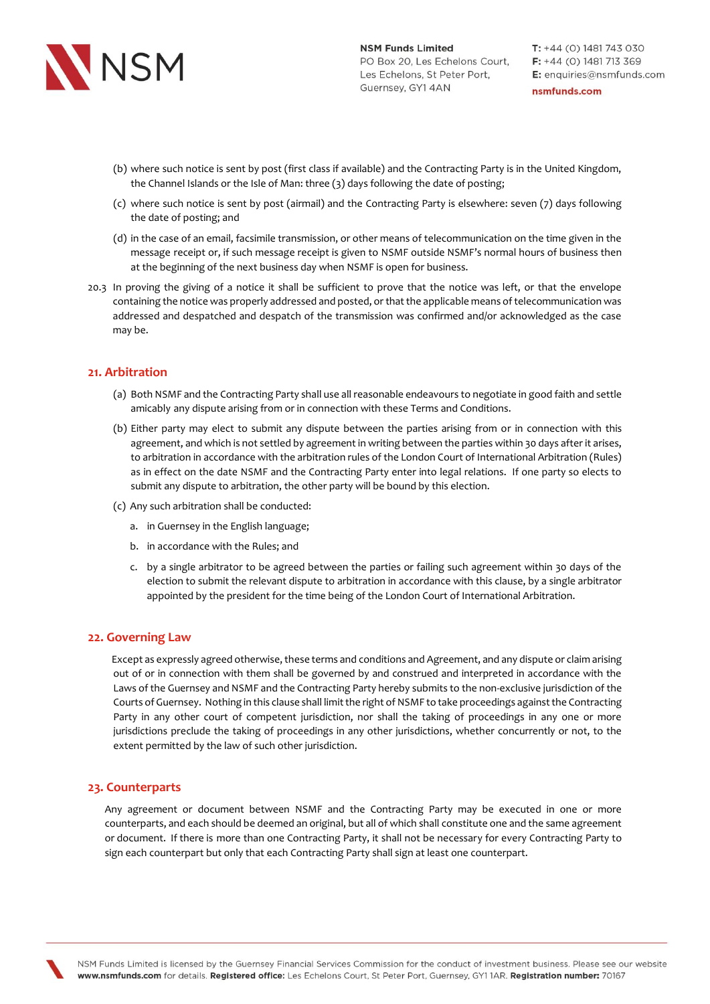

- (b) where such notice is sent by post (first class if available) and the Contracting Party is in the United Kingdom, the Channel Islands or the Isle of Man: three (3) days following the date of posting;
- (c) where such notice is sent by post (airmail) and the Contracting Party is elsewhere: seven (7) days following the date of posting; and
- (d) in the case of an email, facsimile transmission, or other means of telecommunication on the time given in the message receipt or, if such message receipt is given to NSMF outside NSMF's normal hours of business then at the beginning of the next business day when NSMF is open for business.
- 20.3 In proving the giving of a notice it shall be sufficient to prove that the notice was left, or that the envelope containing the notice was properly addressed and posted, or that the applicable means of telecommunication was addressed and despatched and despatch of the transmission was confirmed and/or acknowledged as the case may be.

### **21. Arbitration**

- (a) Both NSMF and the Contracting Party shall use all reasonable endeavours to negotiate in good faith and settle amicably any dispute arising from or in connection with these Terms and Conditions.
- (b) Either party may elect to submit any dispute between the parties arising from or in connection with this agreement, and which is not settled by agreement in writing between the parties within 30 days after it arises, to arbitration in accordance with the arbitration rules of the London Court of International Arbitration (Rules) as in effect on the date NSMF and the Contracting Party enter into legal relations. If one party so elects to submit any dispute to arbitration, the other party will be bound by this election.
- (c) Any such arbitration shall be conducted:
	- a. in Guernsey in the English language;
	- b. in accordance with the Rules; and
	- c. by a single arbitrator to be agreed between the parties or failing such agreement within 30 days of the election to submit the relevant dispute to arbitration in accordance with this clause, by a single arbitrator appointed by the president for the time being of the London Court of International Arbitration.

### **22. Governing Law**

 Except as expressly agreed otherwise, these terms and conditions and Agreement, and any dispute or claim arising out of or in connection with them shall be governed by and construed and interpreted in accordance with the Laws of the Guernsey and NSMF and the Contracting Party hereby submits to the non-exclusive jurisdiction of the Courts of Guernsey. Nothing in this clause shall limit the right of NSMF to take proceedings against the Contracting Party in any other court of competent jurisdiction, nor shall the taking of proceedings in any one or more jurisdictions preclude the taking of proceedings in any other jurisdictions, whether concurrently or not, to the extent permitted by the law of such other jurisdiction.

### **23. Counterparts**

Any agreement or document between NSMF and the Contracting Party may be executed in one or more counterparts, and each should be deemed an original, but all of which shall constitute one and the same agreement or document. If there is more than one Contracting Party, it shall not be necessary for every Contracting Party to sign each counterpart but only that each Contracting Party shall sign at least one counterpart.